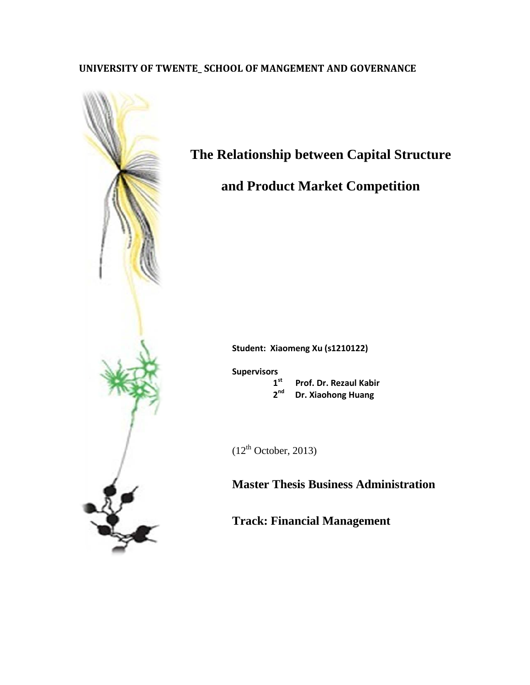# **UNIVERSITY OF TWENTE\_ SCHOOL OF MANGEMENT AND GOVERNANCE**



# **The Relationship between Capital Structure**

# **and Product Market Competition**

**Student: Xiaomeng Xu (s1210122)**

**Supervisors**

1<sup>st</sup> Prof. Dr. Rezaul Kabir<br>2<sup>nd</sup> Dr. Xiaohong Huang

 **2nd Dr. Xiaohong Huang**

 $(12<sup>th</sup> October, 2013)$ 

**Master Thesis Business Administration**

**Track: Financial Management**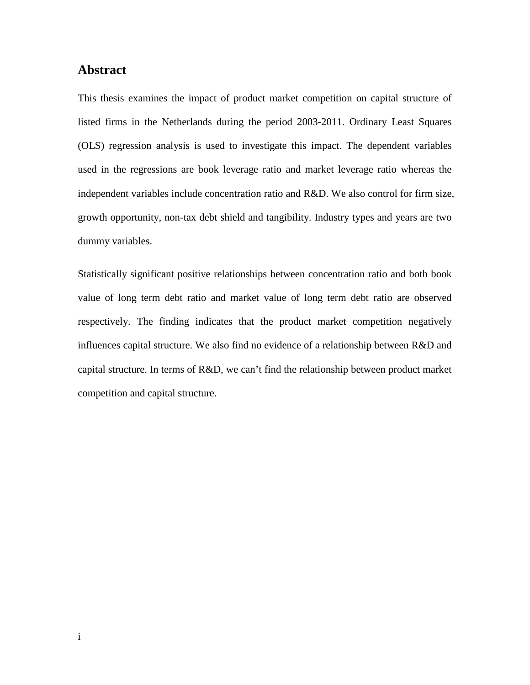## <span id="page-1-0"></span>**Abstract**

This thesis examines the impact of product market competition on capital structure of listed firms in the Netherlands during the period 2003-2011. Ordinary Least Squares (OLS) regression analysis is used to investigate this impact. The dependent variables used in the regressions are book leverage ratio and market leverage ratio whereas the independent variables include concentration ratio and R&D. We also control for firm size, growth opportunity, non-tax debt shield and tangibility. Industry types and years are two dummy variables.

Statistically significant positive relationships between concentration ratio and both book value of long term debt ratio and market value of long term debt ratio are observed respectively. The finding indicates that the product market competition negatively influences capital structure. We also find no evidence of a relationship between R&D and capital structure. In terms of R&D, we can't find the relationship between product market competition and capital structure.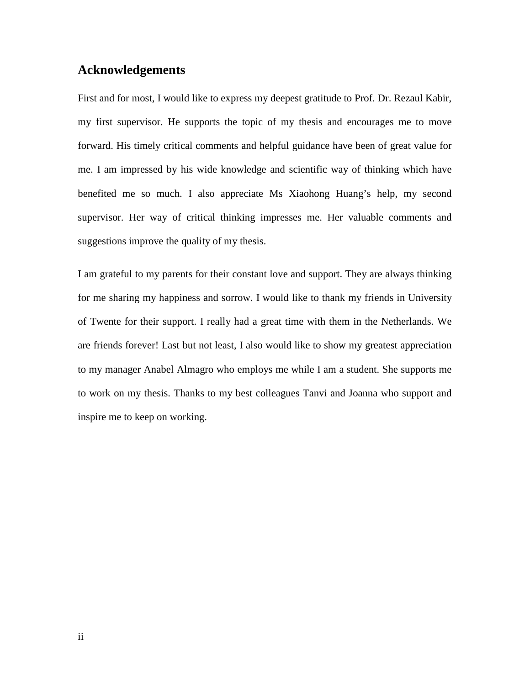# <span id="page-2-0"></span>**Acknowledgements**

First and for most, I would like to express my deepest gratitude to Prof. Dr. Rezaul Kabir, my first supervisor. He supports the topic of my thesis and encourages me to move forward. His timely critical comments and helpful guidance have been of great value for me. I am impressed by his wide knowledge and scientific way of thinking which have benefited me so much. I also appreciate Ms Xiaohong Huang's help, my second supervisor. Her way of critical thinking impresses me. Her valuable comments and suggestions improve the quality of my thesis.

I am grateful to my parents for their constant love and support. They are always thinking for me sharing my happiness and sorrow. I would like to thank my friends in University of Twente for their support. I really had a great time with them in the Netherlands. We are friends forever! Last but not least, I also would like to show my greatest appreciation to my manager Anabel Almagro who employs me while I am a student. She supports me to work on my thesis. Thanks to my best colleagues Tanvi and Joanna who support and inspire me to keep on working.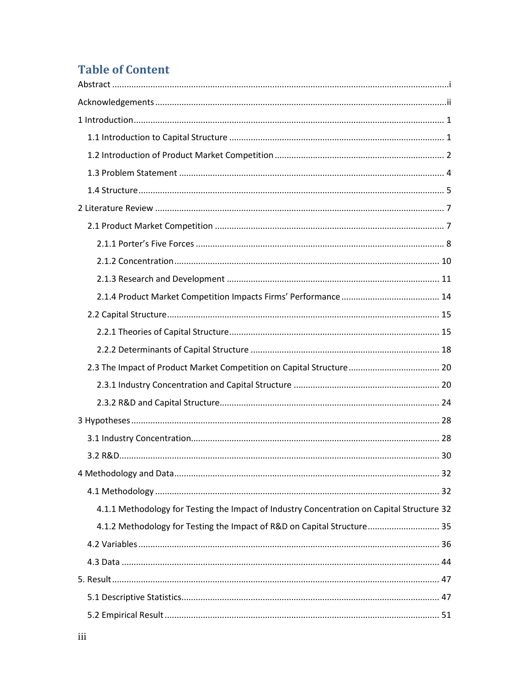# **Table of Content**

| 2.3 The Impact of Product Market Competition on Capital Structure 20                       |
|--------------------------------------------------------------------------------------------|
|                                                                                            |
|                                                                                            |
|                                                                                            |
|                                                                                            |
|                                                                                            |
|                                                                                            |
|                                                                                            |
| 4.1.1 Methodology for Testing the Impact of Industry Concentration on Capital Structure 32 |
| 4.1.2 Methodology for Testing the Impact of R&D on Capital Structure 35                    |
|                                                                                            |
|                                                                                            |
|                                                                                            |
|                                                                                            |
|                                                                                            |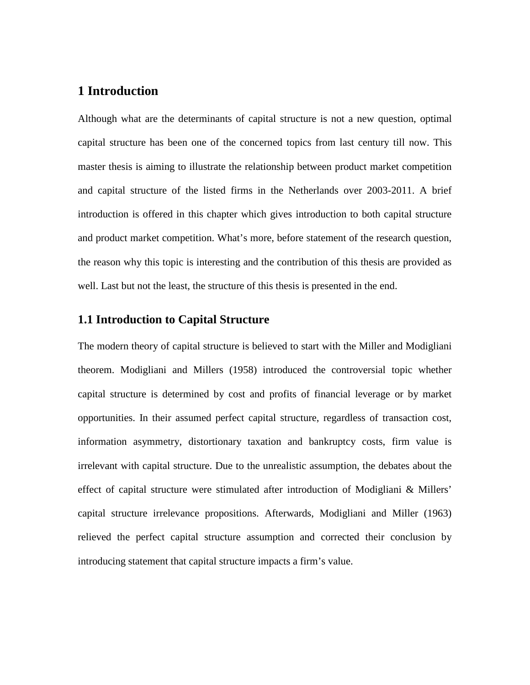# <span id="page-5-0"></span>**1 Introduction**

Although what are the determinants of capital structure is not a new question, optimal capital structure has been one of the concerned topics from last century till now. This master thesis is aiming to illustrate the relationship between product market competition and capital structure of the listed firms in the Netherlands over 2003-2011. A brief introduction is offered in this chapter which gives introduction to both capital structure and product market competition. What's more, before statement of the research question, the reason why this topic is interesting and the contribution of this thesis are provided as well. Last but not the least, the structure of this thesis is presented in the end.

## <span id="page-5-1"></span>**1.1 Introduction to Capital Structure**

The modern theory of capital structure is believed to start with the Miller and Modigliani theorem. Modigliani and Millers (1958) introduced the controversial topic whether capital structure is determined by cost and profits of financial leverage or by market opportunities. In their assumed perfect capital structure, regardless of transaction cost, information asymmetry, distortionary taxation and bankruptcy costs, firm value is irrelevant with capital structure. Due to the unrealistic assumption, the debates about the effect of capital structure were stimulated after introduction of Modigliani & Millers' capital structure irrelevance propositions. Afterwards, Modigliani and Miller (1963) relieved the perfect capital structure assumption and corrected their conclusion by introducing statement that capital structure impacts a firm's value.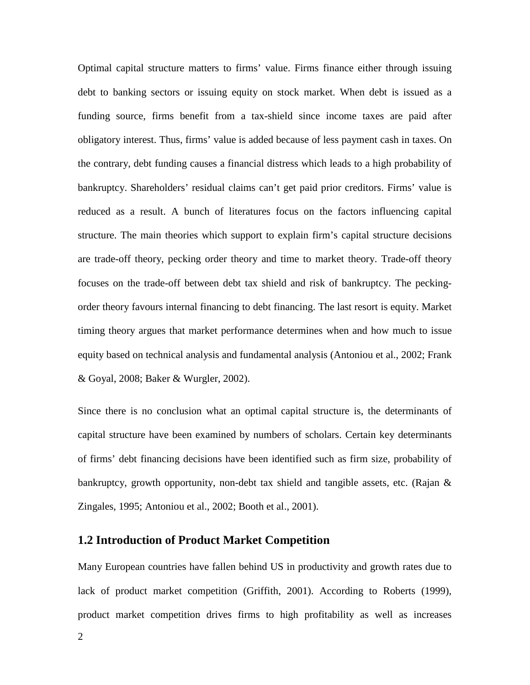Optimal capital structure matters to firms' value. Firms finance either through issuing debt to banking sectors or issuing equity on stock market. When debt is issued as a funding source, firms benefit from a tax-shield since income taxes are paid after obligatory interest. Thus, firms' value is added because of less payment cash in taxes. On the contrary, debt funding causes a financial distress which leads to a high probability of bankruptcy. Shareholders' residual claims can't get paid prior creditors. Firms' value is reduced as a result. A bunch of literatures focus on the factors influencing capital structure. The main theories which support to explain firm's capital structure decisions are trade-off theory, pecking order theory and time to market theory. Trade-off theory focuses on the trade-off between debt tax shield and risk of bankruptcy. The peckingorder theory favours internal financing to debt financing. The last resort is equity. Market timing theory argues that market performance determines when and how much to issue equity based on technical analysis and fundamental analysis (Antoniou et al., 2002; Frank & Goyal, 2008; Baker & Wurgler, 2002).

Since there is no conclusion what an optimal capital structure is, the determinants of capital structure have been examined by numbers of scholars. Certain key determinants of firms' debt financing decisions have been identified such as firm size, probability of bankruptcy, growth opportunity, non-debt tax shield and tangible assets, etc. (Rajan & Zingales, 1995; Antoniou et al., 2002; Booth et al., 2001).

## <span id="page-6-0"></span>**1.2 Introduction of Product Market Competition**

Many European countries have fallen behind US in productivity and growth rates due to lack of product market competition (Griffith, 2001). According to Roberts (1999), product market competition drives firms to high profitability as well as increases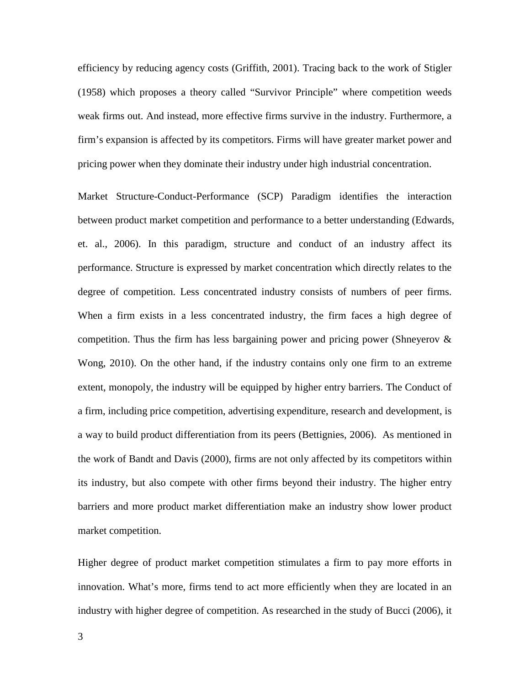efficiency by reducing agency costs (Griffith, 2001). Tracing back to the work of Stigler (1958) which proposes a theory called "Survivor Principle" where competition weeds weak firms out. And instead, more effective firms survive in the industry. Furthermore, a firm's expansion is affected by its competitors. Firms will have greater market power and pricing power when they dominate their industry under high industrial concentration.

Market Structure-Conduct-Performance (SCP) Paradigm identifies the interaction between product market competition and performance to a better understanding (Edwards, et. al., 2006). In this paradigm, structure and conduct of an industry affect its performance. Structure is expressed by market concentration which directly relates to the degree of competition. Less concentrated industry consists of numbers of peer firms. When a firm exists in a less concentrated industry, the firm faces a high degree of competition. Thus the firm has less bargaining power and pricing power (Shneyerov  $\&$ Wong, 2010). On the other hand, if the industry contains only one firm to an extreme extent, monopoly, the industry will be equipped by higher entry barriers. The Conduct of a firm, including price competition, advertising expenditure, research and development, is a way to build product differentiation from its peers (Bettignies, 2006). As mentioned in the work of Bandt and Davis (2000), firms are not only affected by its competitors within its industry, but also compete with other firms beyond their industry. The higher entry barriers and more product market differentiation make an industry show lower product market competition.

Higher degree of product market competition stimulates a firm to pay more efforts in innovation. What's more, firms tend to act more efficiently when they are located in an industry with higher degree of competition. As researched in the study of Bucci (2006), it

3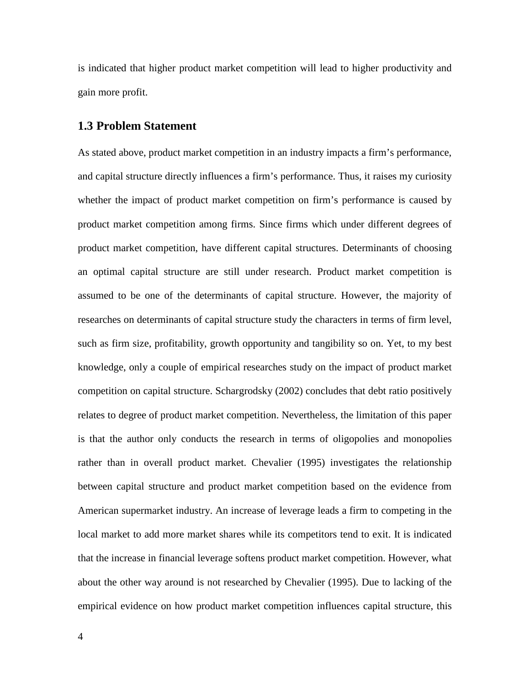is indicated that higher product market competition will lead to higher productivity and gain more profit.

### <span id="page-8-0"></span>**1.3 Problem Statement**

As stated above, product market competition in an industry impacts a firm's performance, and capital structure directly influences a firm's performance. Thus, it raises my curiosity whether the impact of product market competition on firm's performance is caused by product market competition among firms. Since firms which under different degrees of product market competition, have different capital structures. Determinants of choosing an optimal capital structure are still under research. Product market competition is assumed to be one of the determinants of capital structure. However, the majority of researches on determinants of capital structure study the characters in terms of firm level, such as firm size, profitability, growth opportunity and tangibility so on. Yet, to my best knowledge, only a couple of empirical researches study on the impact of product market competition on capital structure. Schargrodsky (2002) concludes that debt ratio positively relates to degree of product market competition. Nevertheless, the limitation of this paper is that the author only conducts the research in terms of oligopolies and monopolies rather than in overall product market. Chevalier (1995) investigates the relationship between capital structure and product market competition based on the evidence from American supermarket industry. An increase of leverage leads a firm to competing in the local market to add more market shares while its competitors tend to exit. It is indicated that the increase in financial leverage softens product market competition. However, what about the other way around is not researched by Chevalier (1995). Due to lacking of the empirical evidence on how product market competition influences capital structure, this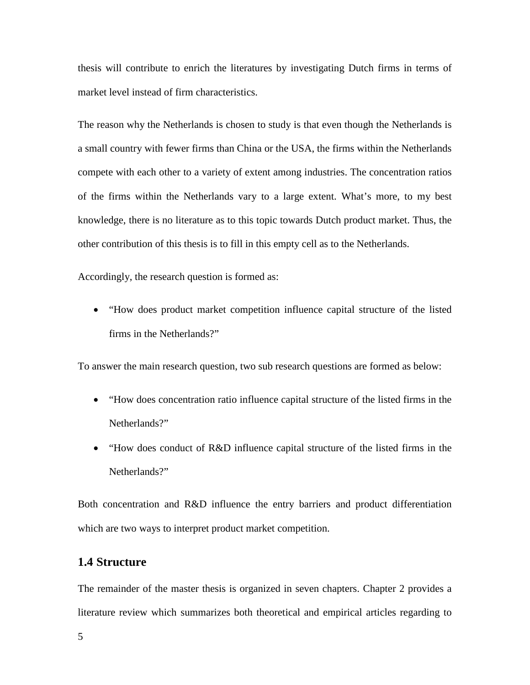thesis will contribute to enrich the literatures by investigating Dutch firms in terms of market level instead of firm characteristics.

The reason why the Netherlands is chosen to study is that even though the Netherlands is a small country with fewer firms than China or the USA, the firms within the Netherlands compete with each other to a variety of extent among industries. The concentration ratios of the firms within the Netherlands vary to a large extent. What's more, to my best knowledge, there is no literature as to this topic towards Dutch product market. Thus, the other contribution of this thesis is to fill in this empty cell as to the Netherlands.

Accordingly, the research question is formed as:

• "How does product market competition influence capital structure of the listed firms in the Netherlands?"

To answer the main research question, two sub research questions are formed as below:

- "How does concentration ratio influence capital structure of the listed firms in the Netherlands?"
- "How does conduct of R&D influence capital structure of the listed firms in the Netherlands?"

Both concentration and R&D influence the entry barriers and product differentiation which are two ways to interpret product market competition.

## <span id="page-9-0"></span>**1.4 Structure**

The remainder of the master thesis is organized in seven chapters. Chapter 2 provides a literature review which summarizes both theoretical and empirical articles regarding to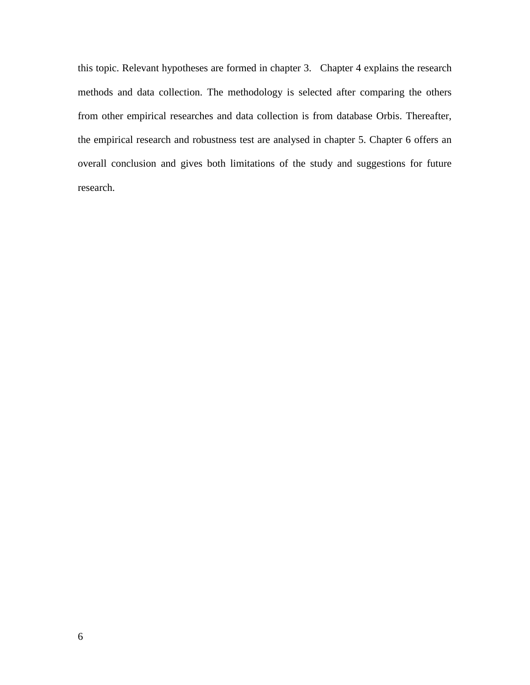this topic. Relevant hypotheses are formed in chapter 3. Chapter 4 explains the research methods and data collection. The methodology is selected after comparing the others from other empirical researches and data collection is from database Orbis. Thereafter, the empirical research and robustness test are analysed in chapter 5. Chapter 6 offers an overall conclusion and gives both limitations of the study and suggestions for future research.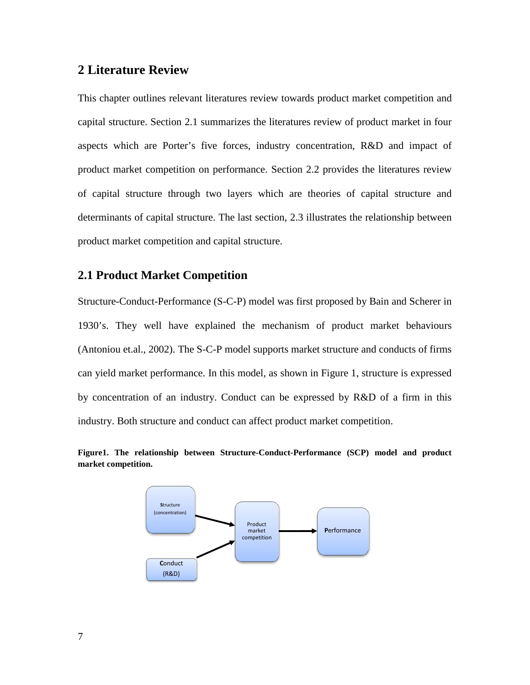## <span id="page-11-0"></span>**2 Literature Review**

This chapter outlines relevant literatures review towards product market competition and capital structure. Section 2.1 summarizes the literatures review of product market in four aspects which are Porter's five forces, industry concentration, R&D and impact of product market competition on performance. Section 2.2 provides the literatures review of capital structure through two layers which are theories of capital structure and determinants of capital structure. The last section, 2.3 illustrates the relationship between product market competition and capital structure.

## <span id="page-11-1"></span>**2.1 Product Market Competition**

Structure-Conduct-Performance (S-C-P) model was first proposed by Bain and Scherer in 1930's. They well have explained the mechanism of product market behaviours (Antoniou et.al., 2002). The S-C-P model supports market structure and conducts of firms can yield market performance. In this model, as shown in Figure 1, structure is expressed by concentration of an industry. Conduct can be expressed by R&D of a firm in this industry. Both structure and conduct can affect product market competition.



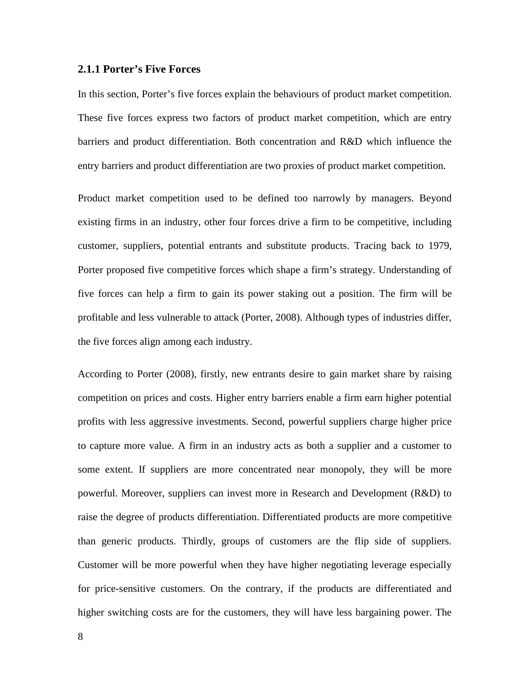#### <span id="page-12-0"></span>**2.1.1 Porter's Five Forces**

In this section, Porter's five forces explain the behaviours of product market competition. These five forces express two factors of product market competition, which are entry barriers and product differentiation. Both concentration and R&D which influence the entry barriers and product differentiation are two proxies of product market competition.

Product market competition used to be defined too narrowly by managers. Beyond existing firms in an industry, other four forces drive a firm to be competitive, including customer, suppliers, potential entrants and substitute products. Tracing back to 1979, Porter proposed five competitive forces which shape a firm's strategy. Understanding of five forces can help a firm to gain its power staking out a position. The firm will be profitable and less vulnerable to attack (Porter, 2008). Although types of industries differ, the five forces align among each industry.

According to Porter (2008), firstly, new entrants desire to gain market share by raising competition on prices and costs. Higher entry barriers enable a firm earn higher potential profits with less aggressive investments. Second, powerful suppliers charge higher price to capture more value. A firm in an industry acts as both a supplier and a customer to some extent. If suppliers are more concentrated near monopoly, they will be more powerful. Moreover, suppliers can invest more in Research and Development (R&D) to raise the degree of products differentiation. Differentiated products are more competitive than generic products. Thirdly, groups of customers are the flip side of suppliers. Customer will be more powerful when they have higher negotiating leverage especially for price-sensitive customers. On the contrary, if the products are differentiated and higher switching costs are for the customers, they will have less bargaining power. The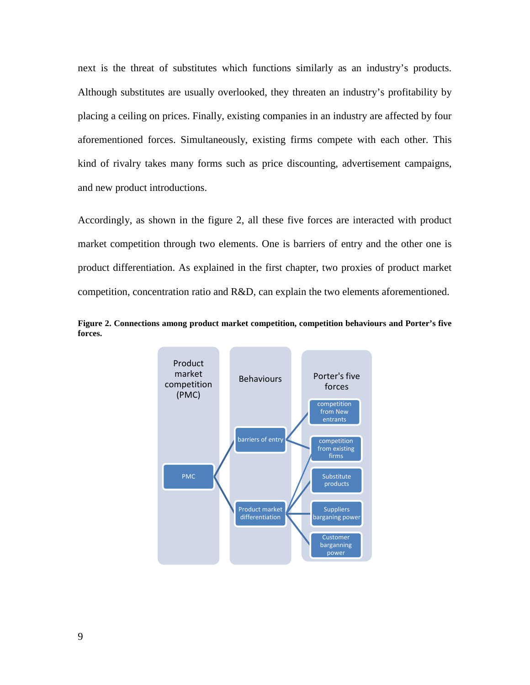next is the threat of substitutes which functions similarly as an industry's products. Although substitutes are usually overlooked, they threaten an industry's profitability by placing a ceiling on prices. Finally, existing companies in an industry are affected by four aforementioned forces. Simultaneously, existing firms compete with each other. This kind of rivalry takes many forms such as price discounting, advertisement campaigns, and new product introductions.

Accordingly, as shown in the figure 2, all these five forces are interacted with product market competition through two elements. One is barriers of entry and the other one is product differentiation. As explained in the first chapter, two proxies of product market competition, concentration ratio and R&D, can explain the two elements aforementioned.



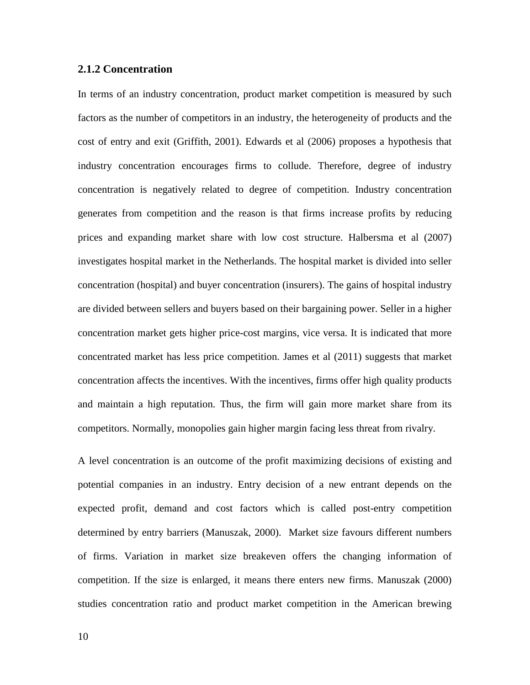#### <span id="page-14-0"></span>**2.1.2 Concentration**

In terms of an industry concentration, product market competition is measured by such factors as the number of competitors in an industry, the heterogeneity of products and the cost of entry and exit (Griffith, 2001). Edwards et al (2006) proposes a hypothesis that industry concentration encourages firms to collude. Therefore, degree of industry concentration is negatively related to degree of competition. Industry concentration generates from competition and the reason is that firms increase profits by reducing prices and expanding market share with low cost structure. Halbersma et al (2007) investigates hospital market in the Netherlands. The hospital market is divided into seller concentration (hospital) and buyer concentration (insurers). The gains of hospital industry are divided between sellers and buyers based on their bargaining power. Seller in a higher concentration market gets higher price-cost margins, vice versa. It is indicated that more concentrated market has less price competition. James et al (2011) suggests that market concentration affects the incentives. With the incentives, firms offer high quality products and maintain a high reputation. Thus, the firm will gain more market share from its competitors. Normally, monopolies gain higher margin facing less threat from rivalry.

A level concentration is an outcome of the profit maximizing decisions of existing and potential companies in an industry. Entry decision of a new entrant depends on the expected profit, demand and cost factors which is called post-entry competition determined by entry barriers (Manuszak, 2000). Market size favours different numbers of firms. Variation in market size breakeven offers the changing information of competition. If the size is enlarged, it means there enters new firms. Manuszak (2000) studies concentration ratio and product market competition in the American brewing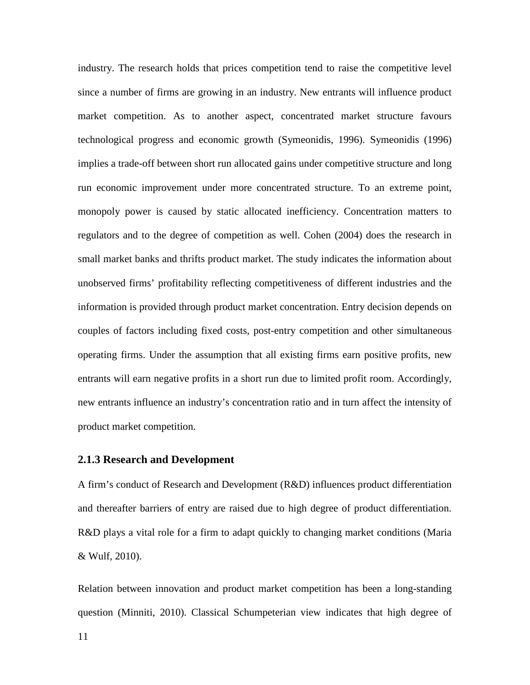industry. The research holds that prices competition tend to raise the competitive level since a number of firms are growing in an industry. New entrants will influence product market competition. As to another aspect, concentrated market structure favours technological progress and economic growth (Symeonidis, 1996). Symeonidis (1996) implies a trade-off between short run allocated gains under competitive structure and long run economic improvement under more concentrated structure. To an extreme point, monopoly power is caused by static allocated inefficiency. Concentration matters to regulators and to the degree of competition as well. Cohen (2004) does the research in small market banks and thrifts product market. The study indicates the information about unobserved firms' profitability reflecting competitiveness of different industries and the information is provided through product market concentration. Entry decision depends on couples of factors including fixed costs, post-entry competition and other simultaneous operating firms. Under the assumption that all existing firms earn positive profits, new entrants will earn negative profits in a short run due to limited profit room. Accordingly, new entrants influence an industry's concentration ratio and in turn affect the intensity of product market competition.

#### <span id="page-15-0"></span>**2.1.3 Research and Development**

A firm's conduct of Research and Development (R&D) influences product differentiation and thereafter barriers of entry are raised due to high degree of product differentiation. R&D plays a vital role for a firm to adapt quickly to changing market conditions (Maria & Wulf, 2010).

Relation between innovation and product market competition has been a long-standing question (Minniti, 2010). Classical Schumpeterian view indicates that high degree of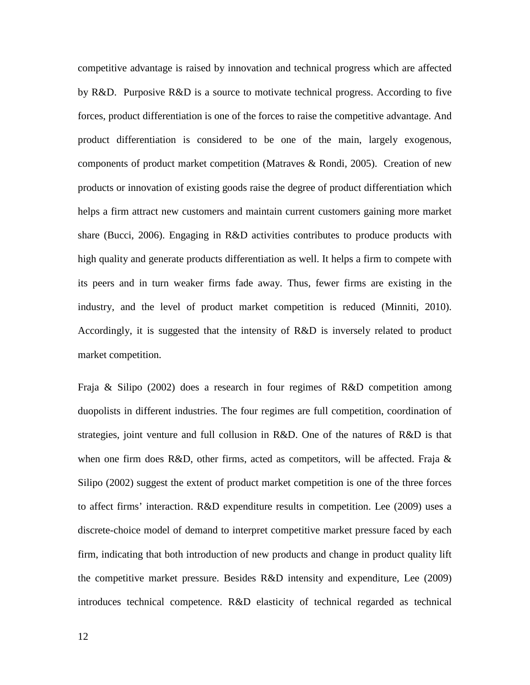competitive advantage is raised by innovation and technical progress which are affected by R&D. Purposive R&D is a source to motivate technical progress. According to five forces, product differentiation is one of the forces to raise the competitive advantage. And product differentiation is considered to be one of the main, largely exogenous, components of product market competition (Matraves & Rondi, 2005). Creation of new products or innovation of existing goods raise the degree of product differentiation which helps a firm attract new customers and maintain current customers gaining more market share (Bucci, 2006). Engaging in R&D activities contributes to produce products with high quality and generate products differentiation as well. It helps a firm to compete with its peers and in turn weaker firms fade away. Thus, fewer firms are existing in the industry, and the level of product market competition is reduced (Minniti, 2010). Accordingly, it is suggested that the intensity of R&D is inversely related to product market competition.

Fraja & Silipo (2002) does a research in four regimes of R&D competition among duopolists in different industries. The four regimes are full competition, coordination of strategies, joint venture and full collusion in R&D. One of the natures of R&D is that when one firm does R&D, other firms, acted as competitors, will be affected. Fraja  $\&$ Silipo (2002) suggest the extent of product market competition is one of the three forces to affect firms' interaction. R&D expenditure results in competition. Lee (2009) uses a discrete-choice model of demand to interpret competitive market pressure faced by each firm, indicating that both introduction of new products and change in product quality lift the competitive market pressure. Besides R&D intensity and expenditure, Lee (2009) introduces technical competence. R&D elasticity of technical regarded as technical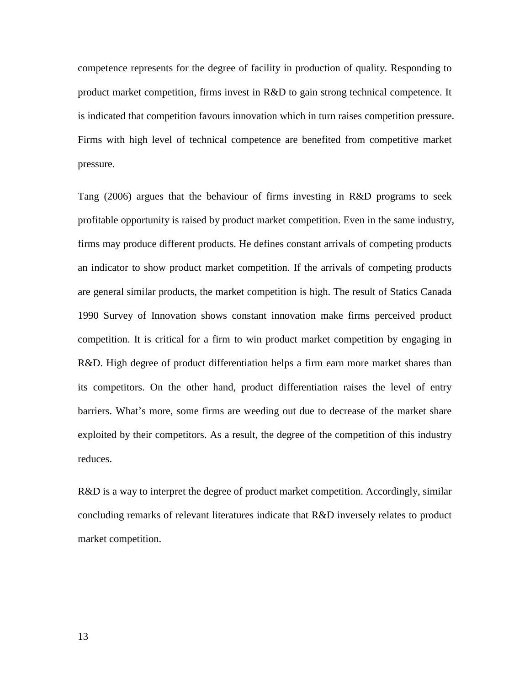competence represents for the degree of facility in production of quality. Responding to product market competition, firms invest in R&D to gain strong technical competence. It is indicated that competition favours innovation which in turn raises competition pressure. Firms with high level of technical competence are benefited from competitive market pressure.

Tang (2006) argues that the behaviour of firms investing in R&D programs to seek profitable opportunity is raised by product market competition. Even in the same industry, firms may produce different products. He defines constant arrivals of competing products an indicator to show product market competition. If the arrivals of competing products are general similar products, the market competition is high. The result of Statics Canada 1990 Survey of Innovation shows constant innovation make firms perceived product competition. It is critical for a firm to win product market competition by engaging in R&D. High degree of product differentiation helps a firm earn more market shares than its competitors. On the other hand, product differentiation raises the level of entry barriers. What's more, some firms are weeding out due to decrease of the market share exploited by their competitors. As a result, the degree of the competition of this industry reduces.

R&D is a way to interpret the degree of product market competition. Accordingly, similar concluding remarks of relevant literatures indicate that R&D inversely relates to product market competition.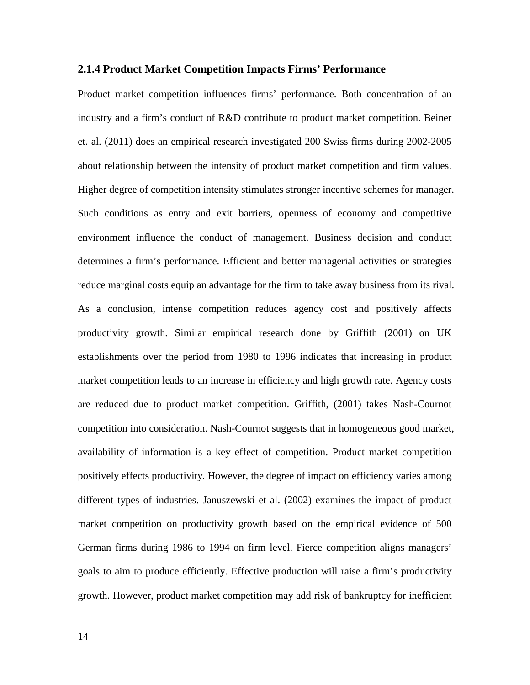#### <span id="page-18-0"></span>**2.1.4 Product Market Competition Impacts Firms' Performance**

Product market competition influences firms' performance. Both concentration of an industry and a firm's conduct of R&D contribute to product market competition. Beiner et. al. (2011) does an empirical research investigated 200 Swiss firms during 2002-2005 about relationship between the intensity of product market competition and firm values. Higher degree of competition intensity stimulates stronger incentive schemes for manager. Such conditions as entry and exit barriers, openness of economy and competitive environment influence the conduct of management. Business decision and conduct determines a firm's performance. Efficient and better managerial activities or strategies reduce marginal costs equip an advantage for the firm to take away business from its rival. As a conclusion, intense competition reduces agency cost and positively affects productivity growth. Similar empirical research done by Griffith (2001) on UK establishments over the period from 1980 to 1996 indicates that increasing in product market competition leads to an increase in efficiency and high growth rate. Agency costs are reduced due to product market competition. Griffith, (2001) takes Nash-Cournot competition into consideration. Nash-Cournot suggests that in homogeneous good market, availability of information is a key effect of competition. Product market competition positively effects productivity. However, the degree of impact on efficiency varies among different types of industries. Januszewski et al. (2002) examines the impact of product market competition on productivity growth based on the empirical evidence of 500 German firms during 1986 to 1994 on firm level. Fierce competition aligns managers' goals to aim to produce efficiently. Effective production will raise a firm's productivity growth. However, product market competition may add risk of bankruptcy for inefficient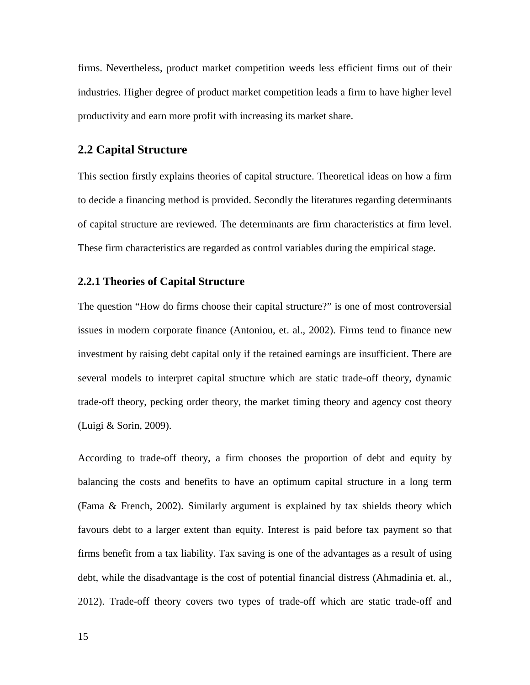firms. Nevertheless, product market competition weeds less efficient firms out of their industries. Higher degree of product market competition leads a firm to have higher level productivity and earn more profit with increasing its market share.

# <span id="page-19-0"></span>**2.2 Capital Structure**

This section firstly explains theories of capital structure. Theoretical ideas on how a firm to decide a financing method is provided. Secondly the literatures regarding determinants of capital structure are reviewed. The determinants are firm characteristics at firm level. These firm characteristics are regarded as control variables during the empirical stage.

#### <span id="page-19-1"></span>**2.2.1 Theories of Capital Structure**

The question "How do firms choose their capital structure?" is one of most controversial issues in modern corporate finance (Antoniou, et. al., 2002). Firms tend to finance new investment by raising debt capital only if the retained earnings are insufficient. There are several models to interpret capital structure which are static trade-off theory, dynamic trade-off theory, pecking order theory, the market timing theory and agency cost theory (Luigi & Sorin, 2009).

According to trade-off theory, a firm chooses the proportion of debt and equity by balancing the costs and benefits to have an optimum capital structure in a long term (Fama & French, 2002). Similarly argument is explained by tax shields theory which favours debt to a larger extent than equity. Interest is paid before tax payment so that firms benefit from a tax liability. Tax saving is one of the advantages as a result of using debt, while the disadvantage is the cost of potential financial distress (Ahmadinia et. al., 2012). Trade-off theory covers two types of trade-off which are static trade-off and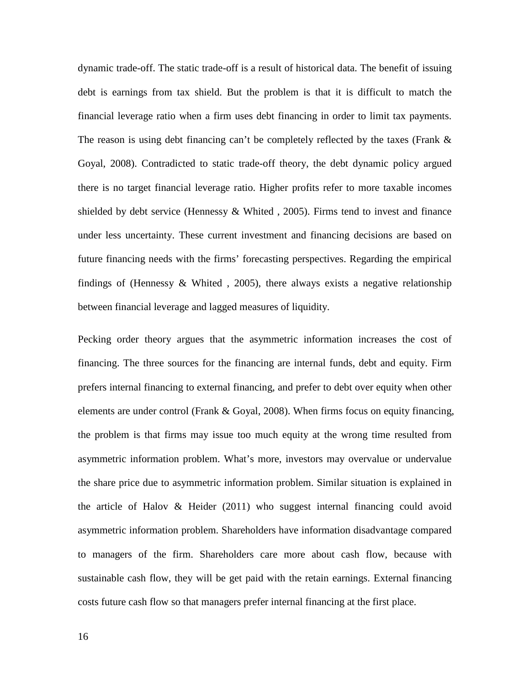dynamic trade-off. The static trade-off is a result of historical data. The benefit of issuing debt is earnings from tax shield. But the problem is that it is difficult to match the financial leverage ratio when a firm uses debt financing in order to limit tax payments. The reason is using debt financing can't be completely reflected by the taxes (Frank  $\&$ Goyal, 2008). Contradicted to static trade-off theory, the debt dynamic policy argued there is no target financial leverage ratio. Higher profits refer to more taxable incomes shielded by debt service (Hennessy  $& Whited$ , 2005). Firms tend to invest and finance under less uncertainty. These current investment and financing decisions are based on future financing needs with the firms' forecasting perspectives. Regarding the empirical findings of (Hennessy  $& Whited$ , 2005), there always exists a negative relationship between financial leverage and lagged measures of liquidity.

Pecking order theory argues that the asymmetric information increases the cost of financing. The three sources for the financing are internal funds, debt and equity. Firm prefers internal financing to external financing, and prefer to debt over equity when other elements are under control (Frank & Goyal, 2008). When firms focus on equity financing, the problem is that firms may issue too much equity at the wrong time resulted from asymmetric information problem. What's more, investors may overvalue or undervalue the share price due to asymmetric information problem. Similar situation is explained in the article of Halov  $\&$  Heider (2011) who suggest internal financing could avoid asymmetric information problem. Shareholders have information disadvantage compared to managers of the firm. Shareholders care more about cash flow, because with sustainable cash flow, they will be get paid with the retain earnings. External financing costs future cash flow so that managers prefer internal financing at the first place.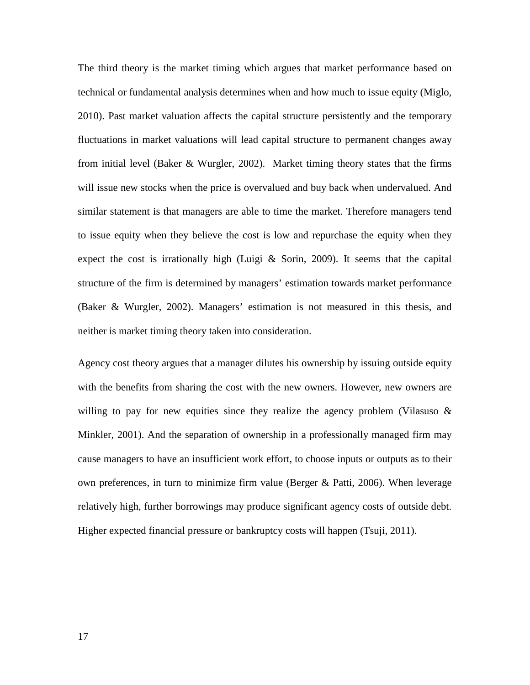The third theory is the market timing which argues that market performance based on technical or fundamental analysis determines when and how much to issue equity (Miglo, 2010). Past market valuation affects the capital structure persistently and the temporary fluctuations in market valuations will lead capital structure to permanent changes away from initial level (Baker  $& Wurgler, 2002$ ). Market timing theory states that the firms will issue new stocks when the price is overvalued and buy back when undervalued. And similar statement is that managers are able to time the market. Therefore managers tend to issue equity when they believe the cost is low and repurchase the equity when they expect the cost is irrationally high (Luigi  $\&$  Sorin, 2009). It seems that the capital structure of the firm is determined by managers' estimation towards market performance (Baker & Wurgler, 2002). Managers' estimation is not measured in this thesis, and neither is market timing theory taken into consideration.

Agency cost theory argues that a manager dilutes his ownership by issuing outside equity with the benefits from sharing the cost with the new owners. However, new owners are willing to pay for new equities since they realize the agency problem (Vilasuso  $\&$ Minkler, 2001). And the separation of ownership in a professionally managed firm may cause managers to have an insufficient work effort, to choose inputs or outputs as to their own preferences, in turn to minimize firm value (Berger  $&$  Patti, 2006). When leverage relatively high, further borrowings may produce significant agency costs of outside debt. Higher expected financial pressure or bankruptcy costs will happen (Tsuji, 2011).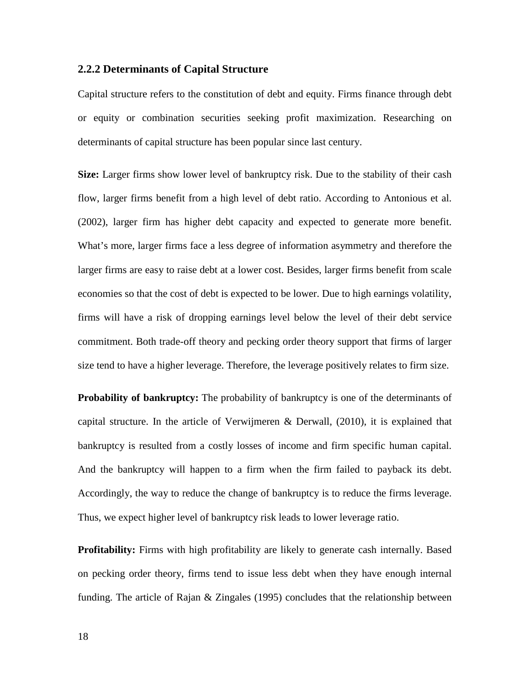#### <span id="page-22-0"></span>**2.2.2 Determinants of Capital Structure**

Capital structure refers to the constitution of debt and equity. Firms finance through debt or equity or combination securities seeking profit maximization. Researching on determinants of capital structure has been popular since last century.

**Size:** Larger firms show lower level of bankruptcy risk. Due to the stability of their cash flow, larger firms benefit from a high level of debt ratio. According to Antonious et al. (2002), larger firm has higher debt capacity and expected to generate more benefit. What's more, larger firms face a less degree of information asymmetry and therefore the larger firms are easy to raise debt at a lower cost. Besides, larger firms benefit from scale economies so that the cost of debt is expected to be lower. Due to high earnings volatility, firms will have a risk of dropping earnings level below the level of their debt service commitment. Both trade-off theory and pecking order theory support that firms of larger size tend to have a higher leverage. Therefore, the leverage positively relates to firm size.

**Probability of bankruptcy:** The probability of bankruptcy is one of the determinants of capital structure. In the article of Verwijmeren & Derwall, (2010), it is explained that bankruptcy is resulted from a costly losses of income and firm specific human capital. And the bankruptcy will happen to a firm when the firm failed to payback its debt. Accordingly, the way to reduce the change of bankruptcy is to reduce the firms leverage. Thus, we expect higher level of bankruptcy risk leads to lower leverage ratio.

**Profitability:** Firms with high profitability are likely to generate cash internally. Based on pecking order theory, firms tend to issue less debt when they have enough internal funding. The article of Rajan & Zingales (1995) concludes that the relationship between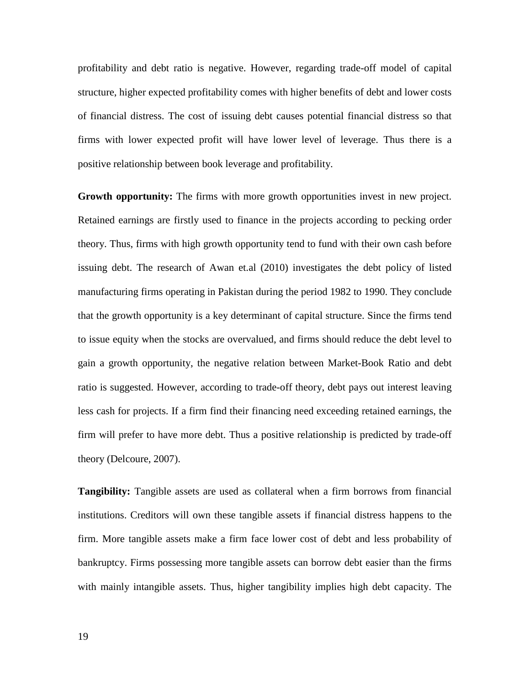profitability and debt ratio is negative. However, regarding trade-off model of capital structure, higher expected profitability comes with higher benefits of debt and lower costs of financial distress. The cost of issuing debt causes potential financial distress so that firms with lower expected profit will have lower level of leverage. Thus there is a positive relationship between book leverage and profitability.

**Growth opportunity:** The firms with more growth opportunities invest in new project. Retained earnings are firstly used to finance in the projects according to pecking order theory. Thus, firms with high growth opportunity tend to fund with their own cash before issuing debt. The research of Awan et.al (2010) investigates the debt policy of listed manufacturing firms operating in Pakistan during the period 1982 to 1990. They conclude that the growth opportunity is a key determinant of capital structure. Since the firms tend to issue equity when the stocks are overvalued, and firms should reduce the debt level to gain a growth opportunity, the negative relation between Market-Book Ratio and debt ratio is suggested. However, according to trade-off theory, debt pays out interest leaving less cash for projects. If a firm find their financing need exceeding retained earnings, the firm will prefer to have more debt. Thus a positive relationship is predicted by trade-off theory (Delcoure, 2007).

**Tangibility:** Tangible assets are used as collateral when a firm borrows from financial institutions. Creditors will own these tangible assets if financial distress happens to the firm. More tangible assets make a firm face lower cost of debt and less probability of bankruptcy. Firms possessing more tangible assets can borrow debt easier than the firms with mainly intangible assets. Thus, higher tangibility implies high debt capacity. The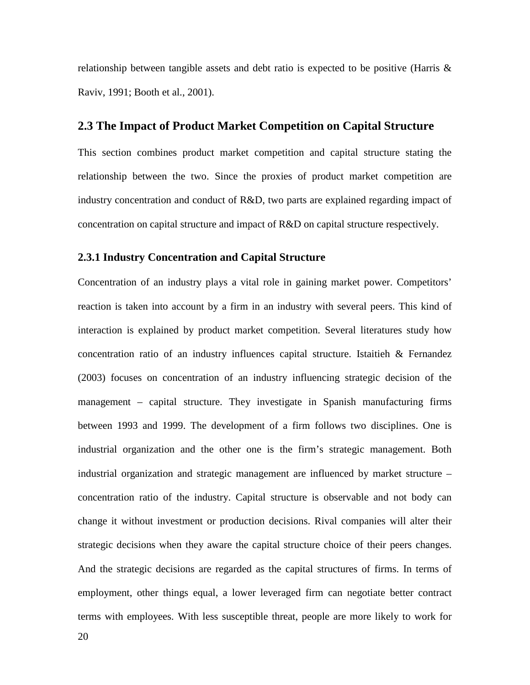relationship between tangible assets and debt ratio is expected to be positive (Harris  $\&$ Raviv, 1991; Booth et al., 2001).

### <span id="page-24-0"></span>**2.3 The Impact of Product Market Competition on Capital Structure**

This section combines product market competition and capital structure stating the relationship between the two. Since the proxies of product market competition are industry concentration and conduct of R&D, two parts are explained regarding impact of concentration on capital structure and impact of R&D on capital structure respectively.

#### <span id="page-24-1"></span>**2.3.1 Industry Concentration and Capital Structure**

Concentration of an industry plays a vital role in gaining market power. Competitors' reaction is taken into account by a firm in an industry with several peers. This kind of interaction is explained by product market competition. Several literatures study how concentration ratio of an industry influences capital structure. Istaitieh & Fernandez (2003) focuses on concentration of an industry influencing strategic decision of the management – capital structure. They investigate in Spanish manufacturing firms between 1993 and 1999. The development of a firm follows two disciplines. One is industrial organization and the other one is the firm's strategic management. Both industrial organization and strategic management are influenced by market structure – concentration ratio of the industry. Capital structure is observable and not body can change it without investment or production decisions. Rival companies will alter their strategic decisions when they aware the capital structure choice of their peers changes. And the strategic decisions are regarded as the capital structures of firms. In terms of employment, other things equal, a lower leveraged firm can negotiate better contract terms with employees. With less susceptible threat, people are more likely to work for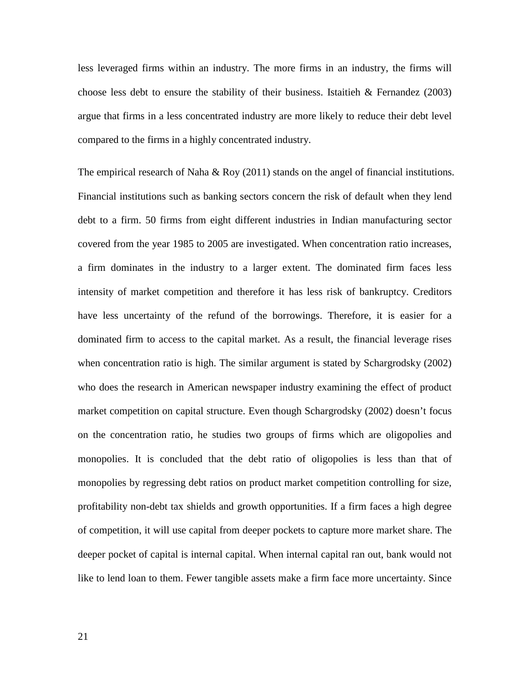less leveraged firms within an industry. The more firms in an industry, the firms will choose less debt to ensure the stability of their business. Istaitieh  $\&$  Fernandez (2003) argue that firms in a less concentrated industry are more likely to reduce their debt level compared to the firms in a highly concentrated industry.

The empirical research of Naha  $\&$  Roy (2011) stands on the angel of financial institutions. Financial institutions such as banking sectors concern the risk of default when they lend debt to a firm. 50 firms from eight different industries in Indian manufacturing sector covered from the year 1985 to 2005 are investigated. When concentration ratio increases, a firm dominates in the industry to a larger extent. The dominated firm faces less intensity of market competition and therefore it has less risk of bankruptcy. Creditors have less uncertainty of the refund of the borrowings. Therefore, it is easier for a dominated firm to access to the capital market. As a result, the financial leverage rises when concentration ratio is high. The similar argument is stated by Schargrodsky (2002) who does the research in American newspaper industry examining the effect of product market competition on capital structure. Even though Schargrodsky (2002) doesn't focus on the concentration ratio, he studies two groups of firms which are oligopolies and monopolies. It is concluded that the debt ratio of oligopolies is less than that of monopolies by regressing debt ratios on product market competition controlling for size, profitability non-debt tax shields and growth opportunities. If a firm faces a high degree of competition, it will use capital from deeper pockets to capture more market share. The deeper pocket of capital is internal capital. When internal capital ran out, bank would not like to lend loan to them. Fewer tangible assets make a firm face more uncertainty. Since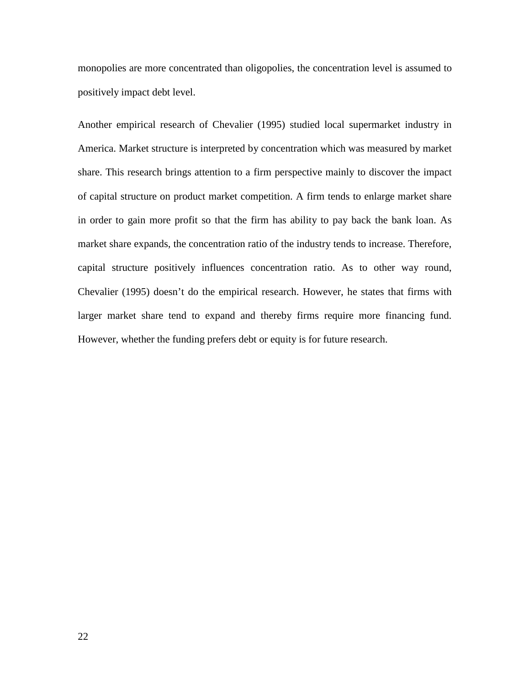monopolies are more concentrated than oligopolies, the concentration level is assumed to positively impact debt level.

Another empirical research of Chevalier (1995) studied local supermarket industry in America. Market structure is interpreted by concentration which was measured by market share. This research brings attention to a firm perspective mainly to discover the impact of capital structure on product market competition. A firm tends to enlarge market share in order to gain more profit so that the firm has ability to pay back the bank loan. As market share expands, the concentration ratio of the industry tends to increase. Therefore, capital structure positively influences concentration ratio. As to other way round, Chevalier (1995) doesn't do the empirical research. However, he states that firms with larger market share tend to expand and thereby firms require more financing fund. However, whether the funding prefers debt or equity is for future research.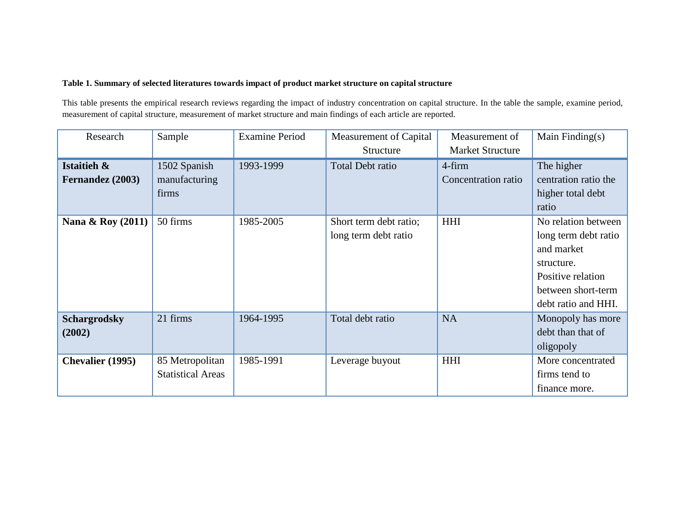#### **Table 1. Summary of selected literatures towards impact of product market structure on capital structure**

This table presents the empirical research reviews regarding the impact of industry concentration on capital structure. In the table the sample, examine period, measurement of capital structure, measurement of market structure and main findings of each article are reported.

| Research                        | Sample                                      | <b>Examine Period</b> | Measurement of Capital<br>Structure            | Measurement of<br><b>Market Structure</b> | Main Finding $(s)$                                                                                                                        |
|---------------------------------|---------------------------------------------|-----------------------|------------------------------------------------|-------------------------------------------|-------------------------------------------------------------------------------------------------------------------------------------------|
| Istaitieh &<br>Fernandez (2003) | 1502 Spanish<br>manufacturing<br>firms      | 1993-1999             | <b>Total Debt ratio</b>                        | 4-firm<br>Concentration ratio             | The higher<br>centration ratio the<br>higher total debt<br>ratio                                                                          |
| Nana & Roy (2011)               | 50 firms                                    | 1985-2005             | Short term debt ratio;<br>long term debt ratio | <b>HHI</b>                                | No relation between<br>long term debt ratio<br>and market<br>structure.<br>Positive relation<br>between short-term<br>debt ratio and HHI. |
| <b>Schargrodsky</b><br>(2002)   | 21 firms                                    | 1964-1995             | Total debt ratio                               | <b>NA</b>                                 | Monopoly has more<br>debt than that of<br>oligopoly                                                                                       |
| <b>Chevalier</b> (1995)         | 85 Metropolitan<br><b>Statistical Areas</b> | 1985-1991             | Leverage buyout                                | <b>HHI</b>                                | More concentrated<br>firms tend to<br>finance more.                                                                                       |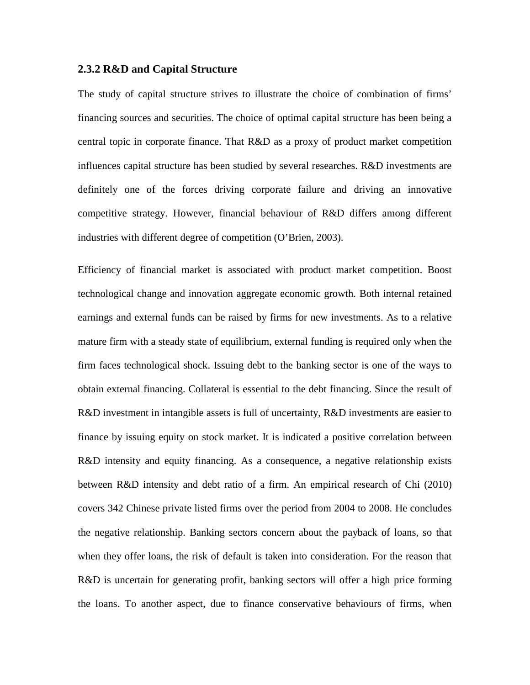#### <span id="page-28-0"></span>**2.3.2 R&D and Capital Structure**

The study of capital structure strives to illustrate the choice of combination of firms' financing sources and securities. The choice of optimal capital structure has been being a central topic in corporate finance. That R&D as a proxy of product market competition influences capital structure has been studied by several researches. R&D investments are definitely one of the forces driving corporate failure and driving an innovative competitive strategy. However, financial behaviour of R&D differs among different industries with different degree of competition (O'Brien, 2003).

Efficiency of financial market is associated with product market competition. Boost technological change and innovation aggregate economic growth. Both internal retained earnings and external funds can be raised by firms for new investments. As to a relative mature firm with a steady state of equilibrium, external funding is required only when the firm faces technological shock. Issuing debt to the banking sector is one of the ways to obtain external financing. Collateral is essential to the debt financing. Since the result of R&D investment in intangible assets is full of uncertainty, R&D investments are easier to finance by issuing equity on stock market. It is indicated a positive correlation between R&D intensity and equity financing. As a consequence, a negative relationship exists between R&D intensity and debt ratio of a firm. An empirical research of Chi (2010) covers 342 Chinese private listed firms over the period from 2004 to 2008. He concludes the negative relationship. Banking sectors concern about the payback of loans, so that when they offer loans, the risk of default is taken into consideration. For the reason that R&D is uncertain for generating profit, banking sectors will offer a high price forming the loans. To another aspect, due to finance conservative behaviours of firms, when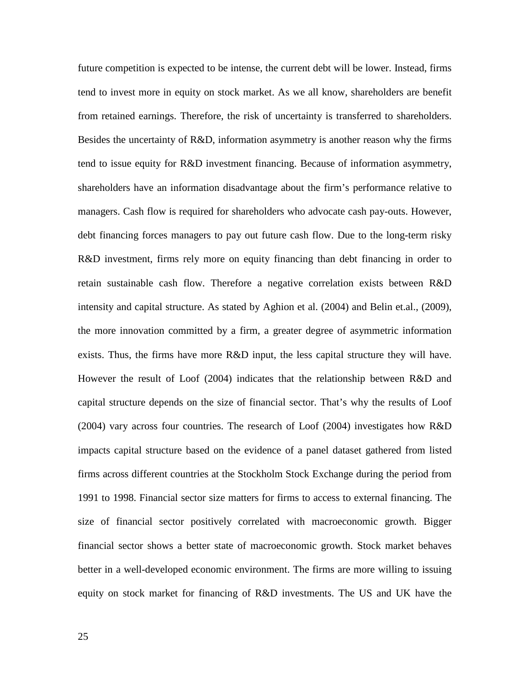future competition is expected to be intense, the current debt will be lower. Instead, firms tend to invest more in equity on stock market. As we all know, shareholders are benefit from retained earnings. Therefore, the risk of uncertainty is transferred to shareholders. Besides the uncertainty of R&D, information asymmetry is another reason why the firms tend to issue equity for R&D investment financing. Because of information asymmetry, shareholders have an information disadvantage about the firm's performance relative to managers. Cash flow is required for shareholders who advocate cash pay-outs. However, debt financing forces managers to pay out future cash flow. Due to the long-term risky R&D investment, firms rely more on equity financing than debt financing in order to retain sustainable cash flow. Therefore a negative correlation exists between R&D intensity and capital structure. As stated by Aghion et al. (2004) and Belin et.al., (2009), the more innovation committed by a firm, a greater degree of asymmetric information exists. Thus, the firms have more R&D input, the less capital structure they will have. However the result of Loof (2004) indicates that the relationship between R&D and capital structure depends on the size of financial sector. That's why the results of Loof (2004) vary across four countries. The research of Loof (2004) investigates how R&D impacts capital structure based on the evidence of a panel dataset gathered from listed firms across different countries at the Stockholm Stock Exchange during the period from 1991 to 1998. Financial sector size matters for firms to access to external financing. The size of financial sector positively correlated with macroeconomic growth. Bigger financial sector shows a better state of macroeconomic growth. Stock market behaves better in a well-developed economic environment. The firms are more willing to issuing equity on stock market for financing of R&D investments. The US and UK have the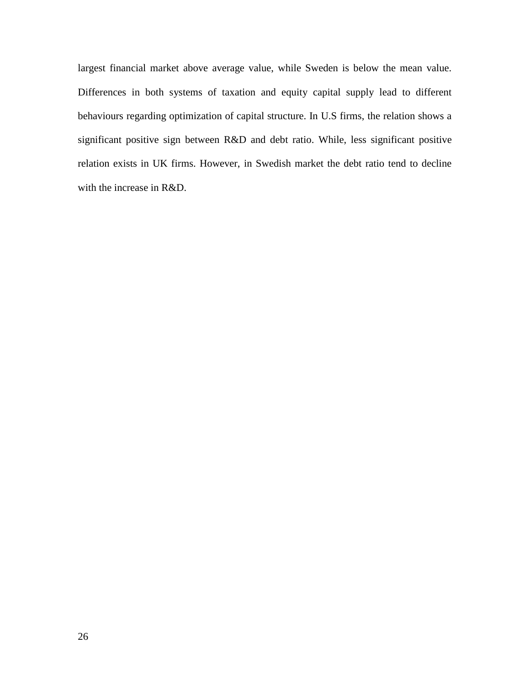largest financial market above average value, while Sweden is below the mean value. Differences in both systems of taxation and equity capital supply lead to different behaviours regarding optimization of capital structure. In U.S firms, the relation shows a significant positive sign between R&D and debt ratio. While, less significant positive relation exists in UK firms. However, in Swedish market the debt ratio tend to decline with the increase in R&D.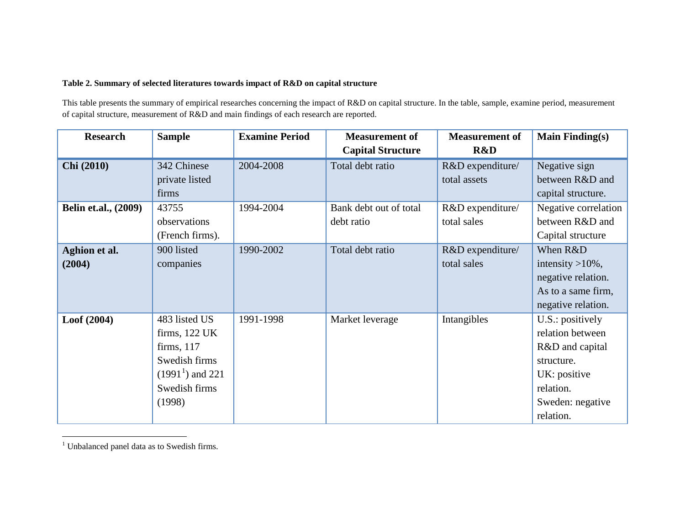#### <span id="page-31-0"></span>**Table 2. Summary of selected literatures towards impact of R&D on capital structure**

This table presents the summary of empirical researches concerning the impact of R&D on capital structure. In the table, sample, examine period, measurement of capital structure, measurement of R&D and main findings of each research are reported.

| <b>Research</b>             | <b>Sample</b>     | <b>Examine Period</b> | <b>Measurement of</b>    | <b>Measurement of</b> | <b>Main Finding(s)</b> |
|-----------------------------|-------------------|-----------------------|--------------------------|-----------------------|------------------------|
|                             |                   |                       | <b>Capital Structure</b> | R&D                   |                        |
| Chi (2010)                  | 342 Chinese       | 2004-2008             | Total debt ratio         | R&D expenditure/      | Negative sign          |
|                             | private listed    |                       |                          | total assets          | between R&D and        |
|                             | firms             |                       |                          |                       | capital structure.     |
| <b>Belin et.al., (2009)</b> | 43755             | 1994-2004             | Bank debt out of total   | R&D expenditure/      | Negative correlation   |
|                             | observations      |                       | debt ratio               | total sales           | between R&D and        |
|                             | (French firms).   |                       |                          |                       | Capital structure      |
| Aghion et al.               | 900 listed        | 1990-2002             | Total debt ratio         | R&D expenditure/      | When R&D               |
| (2004)                      | companies         |                       |                          | total sales           | intensity $>10\%$ ,    |
|                             |                   |                       |                          |                       | negative relation.     |
|                             |                   |                       |                          |                       | As to a same firm,     |
|                             |                   |                       |                          |                       | negative relation.     |
| Loof(2004)                  | 483 listed US     | 1991-1998             | Market leverage          | Intangibles           | U.S.: positively       |
|                             | firms, 122 UK     |                       |                          |                       | relation between       |
|                             | firms, $117$      |                       |                          |                       | R&D and capital        |
|                             | Swedish firms     |                       |                          |                       | structure.             |
|                             | $(19911)$ and 221 |                       |                          |                       | UK: positive           |
|                             | Swedish firms     |                       |                          |                       | relation.              |
|                             | (1998)            |                       |                          |                       | Sweden: negative       |
|                             |                   |                       |                          |                       | relation.              |

<sup>&</sup>lt;sup>1</sup> Unbalanced panel data as to Swedish firms.

 $\sim$  10  $\pm$ 

 $\overline{a}$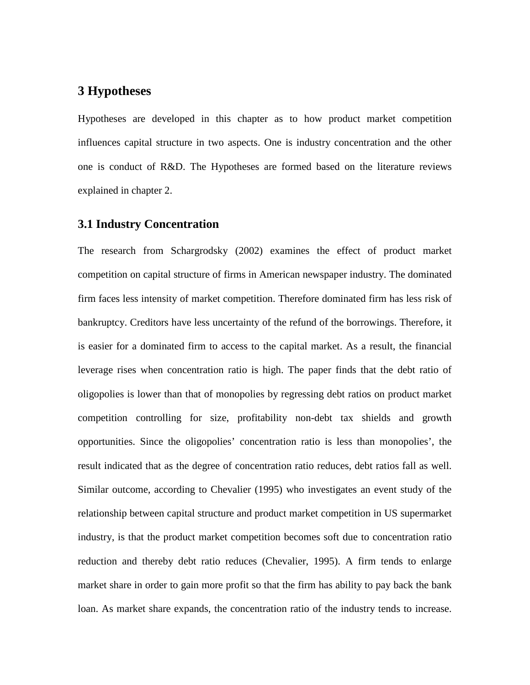# <span id="page-32-0"></span>**3 Hypotheses**

Hypotheses are developed in this chapter as to how product market competition influences capital structure in two aspects. One is industry concentration and the other one is conduct of R&D. The Hypotheses are formed based on the literature reviews explained in chapter 2.

### <span id="page-32-1"></span>**3.1 Industry Concentration**

The research from Schargrodsky (2002) examines the effect of product market competition on capital structure of firms in American newspaper industry. The dominated firm faces less intensity of market competition. Therefore dominated firm has less risk of bankruptcy. Creditors have less uncertainty of the refund of the borrowings. Therefore, it is easier for a dominated firm to access to the capital market. As a result, the financial leverage rises when concentration ratio is high. The paper finds that the debt ratio of oligopolies is lower than that of monopolies by regressing debt ratios on product market competition controlling for size, profitability non-debt tax shields and growth opportunities. Since the oligopolies' concentration ratio is less than monopolies', the result indicated that as the degree of concentration ratio reduces, debt ratios fall as well. Similar outcome, according to Chevalier (1995) who investigates an event study of the relationship between capital structure and product market competition in US supermarket industry, is that the product market competition becomes soft due to concentration ratio reduction and thereby debt ratio reduces (Chevalier, 1995). A firm tends to enlarge market share in order to gain more profit so that the firm has ability to pay back the bank loan. As market share expands, the concentration ratio of the industry tends to increase.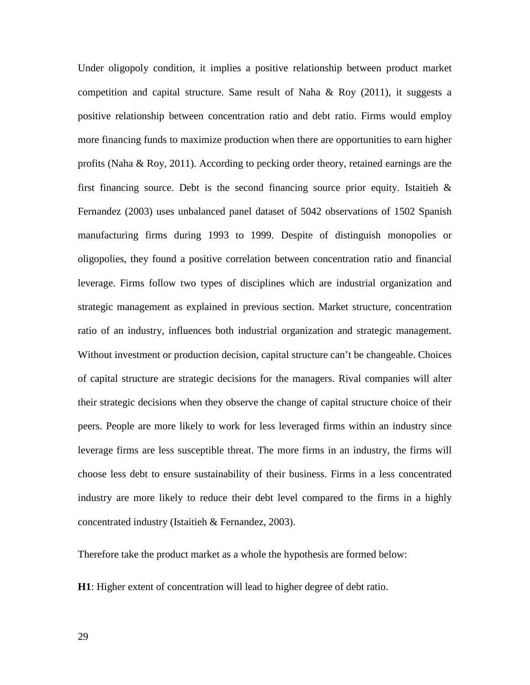Under oligopoly condition, it implies a positive relationship between product market competition and capital structure. Same result of Naha  $\&$  Roy (2011), it suggests a positive relationship between concentration ratio and debt ratio. Firms would employ more financing funds to maximize production when there are opportunities to earn higher profits (Naha & Roy, 2011). According to pecking order theory, retained earnings are the first financing source. Debt is the second financing source prior equity. Istaitieh  $\&$ Fernandez (2003) uses unbalanced panel dataset of 5042 observations of 1502 Spanish manufacturing firms during 1993 to 1999. Despite of distinguish monopolies or oligopolies, they found a positive correlation between concentration ratio and financial leverage. Firms follow two types of disciplines which are industrial organization and strategic management as explained in previous section. Market structure, concentration ratio of an industry, influences both industrial organization and strategic management. Without investment or production decision, capital structure can't be changeable. Choices of capital structure are strategic decisions for the managers. Rival companies will alter their strategic decisions when they observe the change of capital structure choice of their peers. People are more likely to work for less leveraged firms within an industry since leverage firms are less susceptible threat. The more firms in an industry, the firms will choose less debt to ensure sustainability of their business. Firms in a less concentrated industry are more likely to reduce their debt level compared to the firms in a highly concentrated industry (Istaitieh & Fernandez, 2003).

Therefore take the product market as a whole the hypothesis are formed below:

**H1**: Higher extent of concentration will lead to higher degree of debt ratio.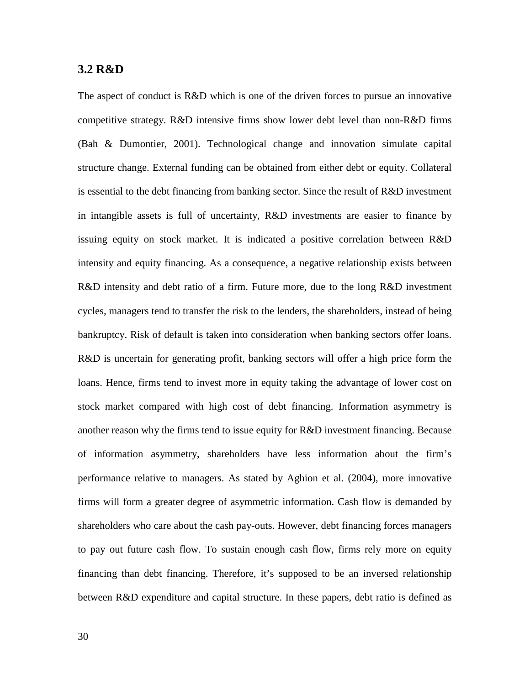### <span id="page-34-0"></span>**3.2 R&D**

The aspect of conduct is R&D which is one of the driven forces to pursue an innovative competitive strategy. R&D intensive firms show lower debt level than non-R&D firms (Bah & Dumontier, 2001). Technological change and innovation simulate capital structure change. External funding can be obtained from either debt or equity. Collateral is essential to the debt financing from banking sector. Since the result of R&D investment in intangible assets is full of uncertainty, R&D investments are easier to finance by issuing equity on stock market. It is indicated a positive correlation between R&D intensity and equity financing. As a consequence, a negative relationship exists between R&D intensity and debt ratio of a firm. Future more, due to the long R&D investment cycles, managers tend to transfer the risk to the lenders, the shareholders, instead of being bankruptcy. Risk of default is taken into consideration when banking sectors offer loans. R&D is uncertain for generating profit, banking sectors will offer a high price form the loans. Hence, firms tend to invest more in equity taking the advantage of lower cost on stock market compared with high cost of debt financing. Information asymmetry is another reason why the firms tend to issue equity for R&D investment financing. Because of information asymmetry, shareholders have less information about the firm's performance relative to managers. As stated by Aghion et al. (2004), more innovative firms will form a greater degree of asymmetric information. Cash flow is demanded by shareholders who care about the cash pay-outs. However, debt financing forces managers to pay out future cash flow. To sustain enough cash flow, firms rely more on equity financing than debt financing. Therefore, it's supposed to be an inversed relationship between R&D expenditure and capital structure. In these papers, debt ratio is defined as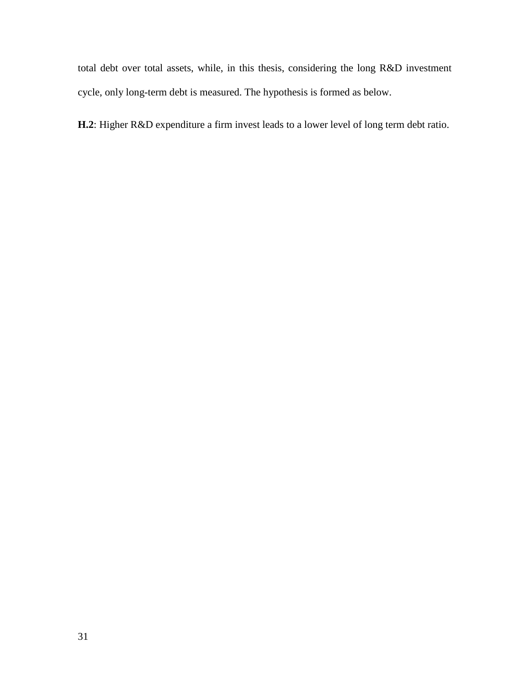total debt over total assets, while, in this thesis, considering the long R&D investment cycle, only long-term debt is measured. The hypothesis is formed as below.

**H.2**: Higher R&D expenditure a firm invest leads to a lower level of long term debt ratio.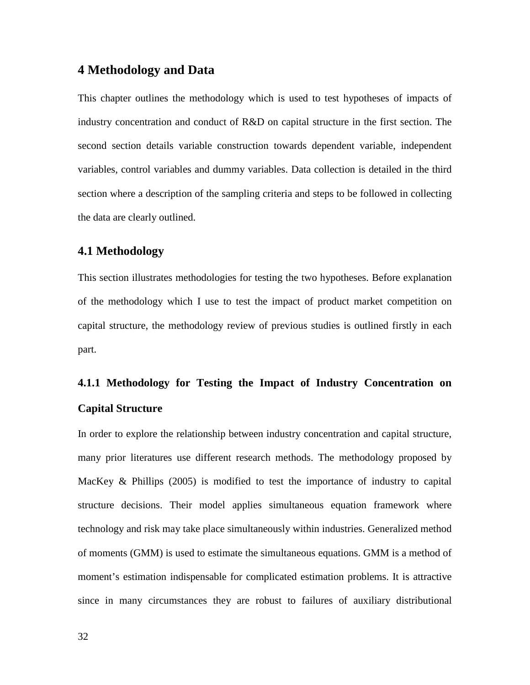# **4 Methodology and Data**

This chapter outlines the methodology which is used to test hypotheses of impacts of industry concentration and conduct of R&D on capital structure in the first section. The second section details variable construction towards dependent variable, independent variables, control variables and dummy variables. Data collection is detailed in the third section where a description of the sampling criteria and steps to be followed in collecting the data are clearly outlined.

# **4.1 Methodology**

This section illustrates methodologies for testing the two hypotheses. Before explanation of the methodology which I use to test the impact of product market competition on capital structure, the methodology review of previous studies is outlined firstly in each part.

# **4.1.1 Methodology for Testing the Impact of Industry Concentration on Capital Structure**

In order to explore the relationship between industry concentration and capital structure, many prior literatures use different research methods. The methodology proposed by MacKey  $\&$  Phillips (2005) is modified to test the importance of industry to capital structure decisions. Their model applies simultaneous equation framework where technology and risk may take place simultaneously within industries. Generalized method of moments (GMM) is used to estimate the simultaneous equations. GMM is a method of moment's estimation indispensable for complicated estimation problems. It is attractive since in many circumstances they are robust to failures of auxiliary distributional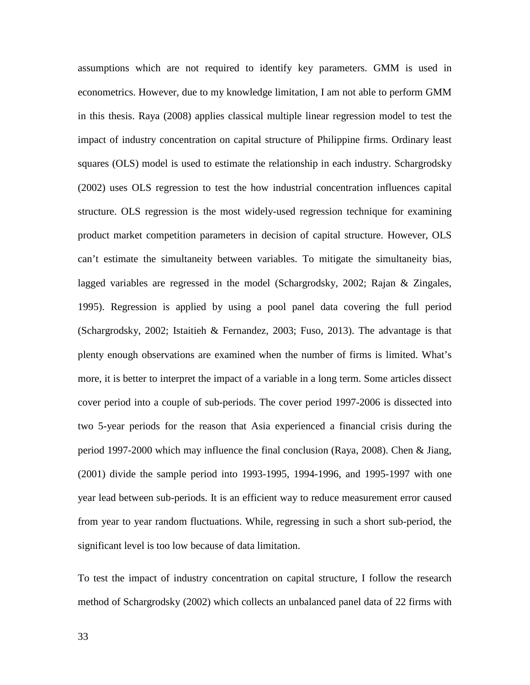assumptions which are not required to identify key parameters. GMM is used in econometrics. However, due to my knowledge limitation, I am not able to perform GMM in this thesis. Raya (2008) applies classical multiple linear regression model to test the impact of industry concentration on capital structure of Philippine firms. Ordinary least squares (OLS) model is used to estimate the relationship in each industry. Schargrodsky (2002) uses OLS regression to test the how industrial concentration influences capital structure. OLS regression is the most widely-used regression technique for examining product market competition parameters in decision of capital structure. However, OLS can't estimate the simultaneity between variables. To mitigate the simultaneity bias, lagged variables are regressed in the model (Schargrodsky, 2002; Rajan & Zingales, 1995). Regression is applied by using a pool panel data covering the full period (Schargrodsky, 2002; Istaitieh & Fernandez, 2003; Fuso, 2013). The advantage is that plenty enough observations are examined when the number of firms is limited. What's more, it is better to interpret the impact of a variable in a long term. Some articles dissect cover period into a couple of sub-periods. The cover period 1997-2006 is dissected into two 5-year periods for the reason that Asia experienced a financial crisis during the period 1997-2000 which may influence the final conclusion (Raya, 2008). Chen & Jiang, (2001) divide the sample period into 1993-1995, 1994-1996, and 1995-1997 with one year lead between sub-periods. It is an efficient way to reduce measurement error caused from year to year random fluctuations. While, regressing in such a short sub-period, the significant level is too low because of data limitation.

To test the impact of industry concentration on capital structure, I follow the research method of Schargrodsky (2002) which collects an unbalanced panel data of 22 firms with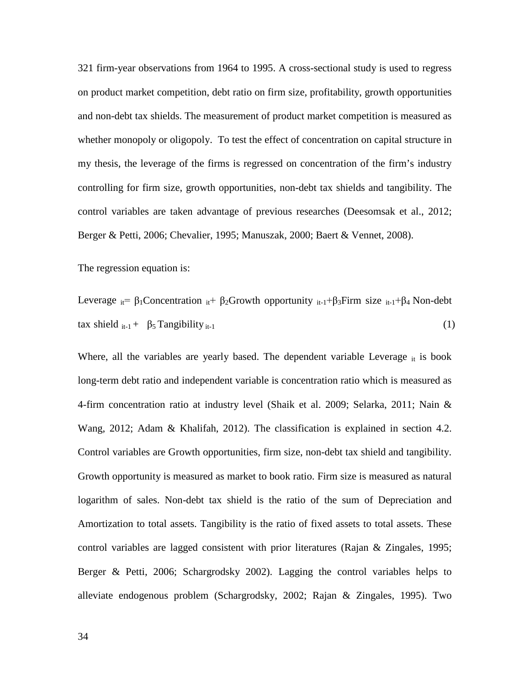321 firm-year observations from 1964 to 1995. A cross-sectional study is used to regress on product market competition, debt ratio on firm size, profitability, growth opportunities and non-debt tax shields. The measurement of product market competition is measured as whether monopoly or oligopoly. To test the effect of concentration on capital structure in my thesis, the leverage of the firms is regressed on concentration of the firm's industry controlling for firm size, growth opportunities, non-debt tax shields and tangibility. The control variables are taken advantage of previous researches (Deesomsak et al., 2012; Berger & Petti, 2006; Chevalier, 1995; Manuszak, 2000; Baert & Vennet, 2008).

The regression equation is:

Leverage  $_{it} = \beta_1$ Concentration  $_{it} + \beta_2$ Growth opportunity  $_{it-1} + \beta_3$ Firm size  $_{it-1} + \beta_4$  Non-debt tax shield  $_{it-1}$  +  $\beta_5$  Tangibility  $_{it-1}$  (1)

Where, all the variables are yearly based. The dependent variable Leverage  $_{it}$  is book long-term debt ratio and independent variable is concentration ratio which is measured as 4-firm concentration ratio at industry level (Shaik et al. 2009; Selarka, 2011; Nain & Wang, 2012; Adam & Khalifah, 2012). The classification is explained in section 4.2. Control variables are Growth opportunities, firm size, non-debt tax shield and tangibility. Growth opportunity is measured as market to book ratio. Firm size is measured as natural logarithm of sales. Non-debt tax shield is the ratio of the sum of Depreciation and Amortization to total assets. Tangibility is the ratio of fixed assets to total assets. These control variables are lagged consistent with prior literatures (Rajan & Zingales, 1995; Berger & Petti, 2006; Schargrodsky 2002). Lagging the control variables helps to alleviate endogenous problem (Schargrodsky, 2002; Rajan & Zingales, 1995). Two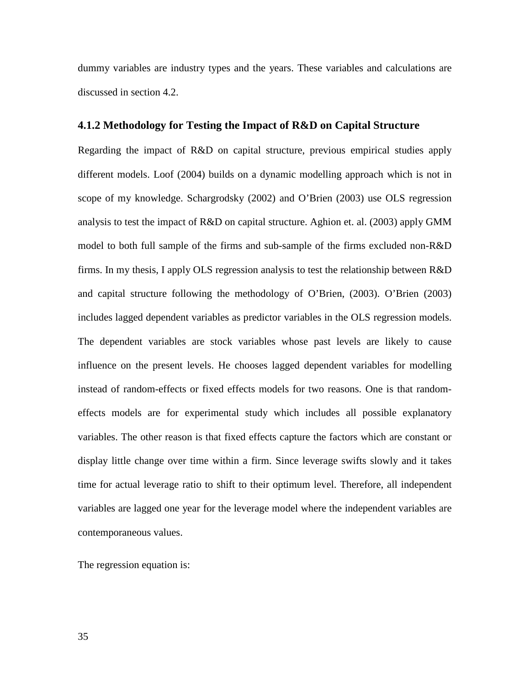dummy variables are industry types and the years. These variables and calculations are discussed in section 4.2.

### **4.1.2 Methodology for Testing the Impact of R&D on Capital Structure**

Regarding the impact of R&D on capital structure, previous empirical studies apply different models. Loof (2004) builds on a dynamic modelling approach which is not in scope of my knowledge. Schargrodsky (2002) and O'Brien (2003) use OLS regression analysis to test the impact of R&D on capital structure. Aghion et. al. (2003) apply GMM model to both full sample of the firms and sub-sample of the firms excluded non-R&D firms. In my thesis, I apply OLS regression analysis to test the relationship between R&D and capital structure following the methodology of O'Brien, (2003). O'Brien (2003) includes lagged dependent variables as predictor variables in the OLS regression models. The dependent variables are stock variables whose past levels are likely to cause influence on the present levels. He chooses lagged dependent variables for modelling instead of random-effects or fixed effects models for two reasons. One is that randomeffects models are for experimental study which includes all possible explanatory variables. The other reason is that fixed effects capture the factors which are constant or display little change over time within a firm. Since leverage swifts slowly and it takes time for actual leverage ratio to shift to their optimum level. Therefore, all independent variables are lagged one year for the leverage model where the independent variables are contemporaneous values.

The regression equation is: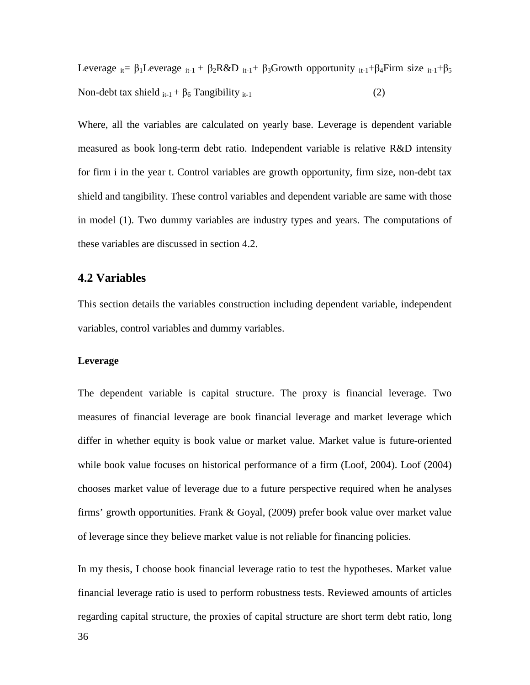Leverage  $_{it} = \beta_1$ Leverage  $_{it-1} + \beta_2 R \& D_{it-1} + \beta_3$ Growth opportunity  $_{it-1} + \beta_4$ Firm size  $_{it-1} + \beta_5$ Non-debt tax shield  $_{it-1}$  +  $\beta_6$  Tangibility  $_{it-1}$  (2)

Where, all the variables are calculated on yearly base. Leverage is dependent variable measured as book long-term debt ratio. Independent variable is relative R&D intensity for firm i in the year t. Control variables are growth opportunity, firm size, non-debt tax shield and tangibility. These control variables and dependent variable are same with those in model (1). Two dummy variables are industry types and years. The computations of these variables are discussed in section 4.2.

# **4.2 Variables**

This section details the variables construction including dependent variable, independent variables, control variables and dummy variables.

### **Leverage**

The dependent variable is capital structure. The proxy is financial leverage. Two measures of financial leverage are book financial leverage and market leverage which differ in whether equity is book value or market value. Market value is future-oriented while book value focuses on historical performance of a firm (Loof, 2004). Loof (2004) chooses market value of leverage due to a future perspective required when he analyses firms' growth opportunities. Frank & Goyal, (2009) prefer book value over market value of leverage since they believe market value is not reliable for financing policies.

In my thesis, I choose book financial leverage ratio to test the hypotheses. Market value financial leverage ratio is used to perform robustness tests. Reviewed amounts of articles regarding capital structure, the proxies of capital structure are short term debt ratio, long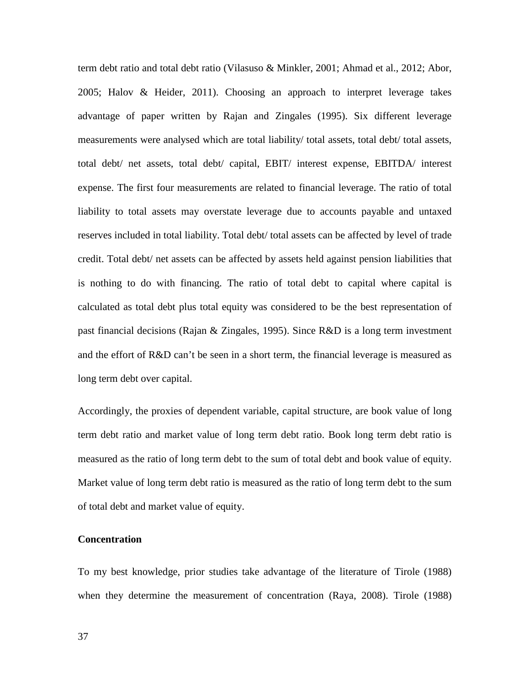term debt ratio and total debt ratio (Vilasuso & Minkler, 2001; Ahmad et al., 2012; Abor, 2005; Halov & Heider, 2011). Choosing an approach to interpret leverage takes advantage of paper written by Rajan and Zingales (1995). Six different leverage measurements were analysed which are total liability/ total assets, total debt/ total assets, total debt/ net assets, total debt/ capital, EBIT/ interest expense, EBITDA/ interest expense. The first four measurements are related to financial leverage. The ratio of total liability to total assets may overstate leverage due to accounts payable and untaxed reserves included in total liability. Total debt/ total assets can be affected by level of trade credit. Total debt/ net assets can be affected by assets held against pension liabilities that is nothing to do with financing. The ratio of total debt to capital where capital is calculated as total debt plus total equity was considered to be the best representation of past financial decisions (Rajan & Zingales, 1995). Since R&D is a long term investment and the effort of R&D can't be seen in a short term, the financial leverage is measured as long term debt over capital.

Accordingly, the proxies of dependent variable, capital structure, are book value of long term debt ratio and market value of long term debt ratio. Book long term debt ratio is measured as the ratio of long term debt to the sum of total debt and book value of equity. Market value of long term debt ratio is measured as the ratio of long term debt to the sum of total debt and market value of equity.

## **Concentration**

To my best knowledge, prior studies take advantage of the literature of Tirole (1988) when they determine the measurement of concentration (Raya, 2008). Tirole (1988)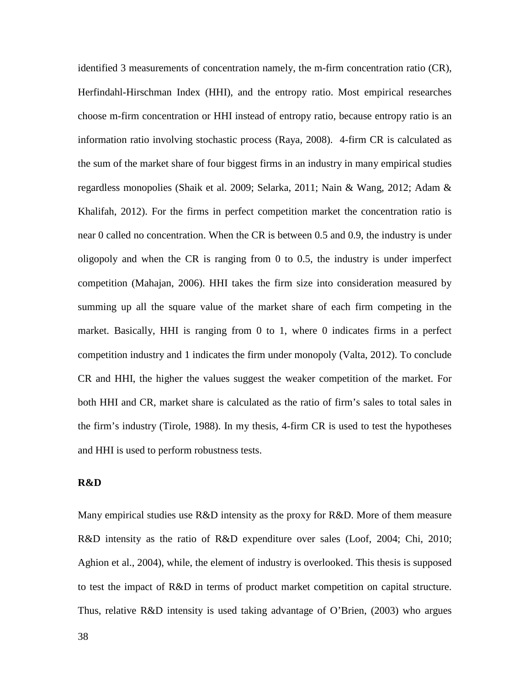identified 3 measurements of concentration namely, the m-firm concentration ratio (CR), Herfindahl-Hirschman Index (HHI), and the entropy ratio. Most empirical researches choose m-firm concentration or HHI instead of entropy ratio, because entropy ratio is an information ratio involving stochastic process (Raya, 2008). 4-firm CR is calculated as the sum of the market share of four biggest firms in an industry in many empirical studies regardless monopolies (Shaik et al. 2009; Selarka, 2011; Nain & Wang, 2012; Adam & Khalifah, 2012). For the firms in perfect competition market the concentration ratio is near 0 called no concentration. When the CR is between 0.5 and 0.9, the industry is under oligopoly and when the CR is ranging from 0 to 0.5, the industry is under imperfect competition (Mahajan, 2006). HHI takes the firm size into consideration measured by summing up all the square value of the market share of each firm competing in the market. Basically, HHI is ranging from 0 to 1, where 0 indicates firms in a perfect competition industry and 1 indicates the firm under monopoly (Valta, 2012). To conclude CR and HHI, the higher the values suggest the weaker competition of the market. For both HHI and CR, market share is calculated as the ratio of firm's sales to total sales in the firm's industry (Tirole, 1988). In my thesis, 4-firm CR is used to test the hypotheses and HHI is used to perform robustness tests.

#### **R&D**

Many empirical studies use R&D intensity as the proxy for R&D. More of them measure R&D intensity as the ratio of R&D expenditure over sales (Loof, 2004; Chi, 2010; Aghion et al., 2004), while, the element of industry is overlooked. This thesis is supposed to test the impact of R&D in terms of product market competition on capital structure. Thus, relative R&D intensity is used taking advantage of O'Brien, (2003) who argues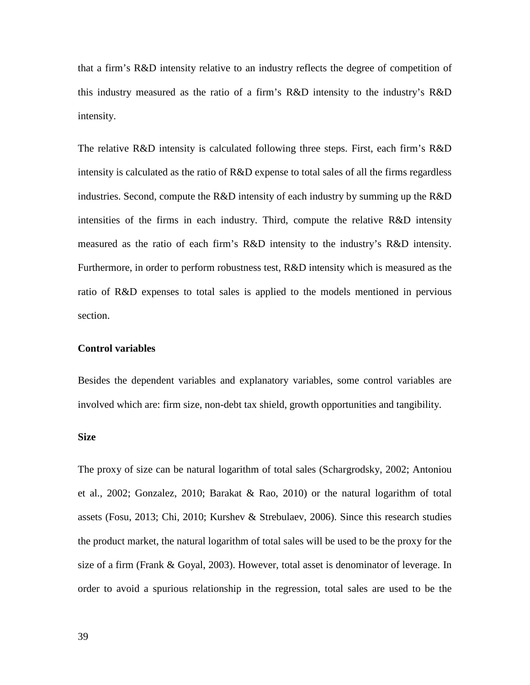that a firm's R&D intensity relative to an industry reflects the degree of competition of this industry measured as the ratio of a firm's R&D intensity to the industry's R&D intensity.

The relative R&D intensity is calculated following three steps. First, each firm's R&D intensity is calculated as the ratio of R&D expense to total sales of all the firms regardless industries. Second, compute the R&D intensity of each industry by summing up the R&D intensities of the firms in each industry. Third, compute the relative R&D intensity measured as the ratio of each firm's R&D intensity to the industry's R&D intensity. Furthermore, in order to perform robustness test, R&D intensity which is measured as the ratio of R&D expenses to total sales is applied to the models mentioned in pervious section.

## **Control variables**

Besides the dependent variables and explanatory variables, some control variables are involved which are: firm size, non-debt tax shield, growth opportunities and tangibility.

#### **Size**

The proxy of size can be natural logarithm of total sales (Schargrodsky, 2002; Antoniou et al., 2002; Gonzalez, 2010; Barakat & Rao, 2010) or the natural logarithm of total assets (Fosu, 2013; Chi, 2010; Kurshev & Strebulaev, 2006). Since this research studies the product market, the natural logarithm of total sales will be used to be the proxy for the size of a firm (Frank & Goyal, 2003). However, total asset is denominator of leverage. In order to avoid a spurious relationship in the regression, total sales are used to be the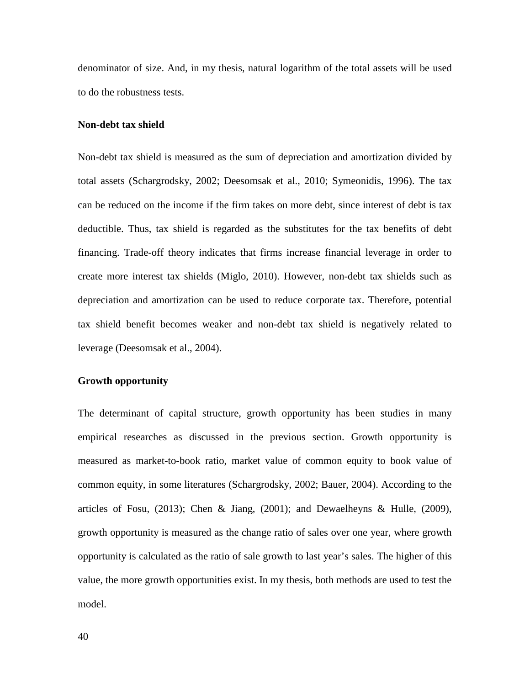denominator of size. And, in my thesis, natural logarithm of the total assets will be used to do the robustness tests.

#### **Non-debt tax shield**

Non-debt tax shield is measured as the sum of depreciation and amortization divided by total assets (Schargrodsky, 2002; Deesomsak et al., 2010; Symeonidis, 1996). The tax can be reduced on the income if the firm takes on more debt, since interest of debt is tax deductible. Thus, tax shield is regarded as the substitutes for the tax benefits of debt financing. Trade-off theory indicates that firms increase financial leverage in order to create more interest tax shields (Miglo, 2010). However, non-debt tax shields such as depreciation and amortization can be used to reduce corporate tax. Therefore, potential tax shield benefit becomes weaker and non-debt tax shield is negatively related to leverage (Deesomsak et al., 2004).

#### **Growth opportunity**

The determinant of capital structure, growth opportunity has been studies in many empirical researches as discussed in the previous section. Growth opportunity is measured as market-to-book ratio, market value of common equity to book value of common equity, in some literatures (Schargrodsky, 2002; Bauer, 2004). According to the articles of Fosu,  $(2013)$ ; Chen & Jiang,  $(2001)$ ; and Dewaelheyns & Hulle,  $(2009)$ , growth opportunity is measured as the change ratio of sales over one year, where growth opportunity is calculated as the ratio of sale growth to last year's sales. The higher of this value, the more growth opportunities exist. In my thesis, both methods are used to test the model.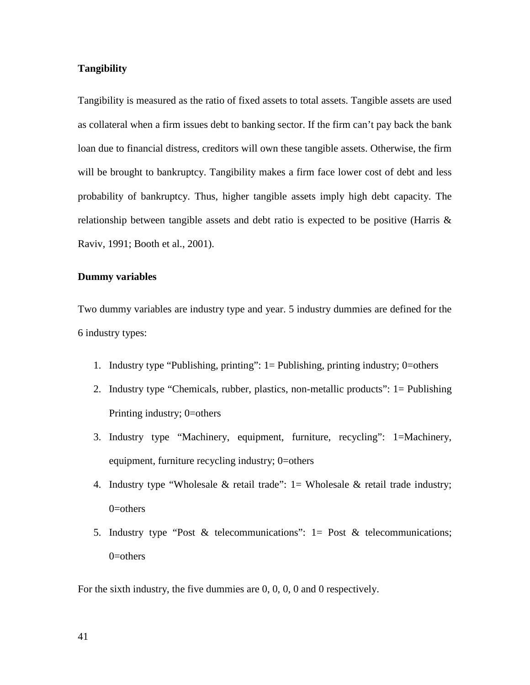### **Tangibility**

Tangibility is measured as the ratio of fixed assets to total assets. Tangible assets are used as collateral when a firm issues debt to banking sector. If the firm can't pay back the bank loan due to financial distress, creditors will own these tangible assets. Otherwise, the firm will be brought to bankruptcy. Tangibility makes a firm face lower cost of debt and less probability of bankruptcy. Thus, higher tangible assets imply high debt capacity. The relationship between tangible assets and debt ratio is expected to be positive (Harris & Raviv, 1991; Booth et al., 2001).

### **Dummy variables**

Two dummy variables are industry type and year. 5 industry dummies are defined for the 6 industry types:

- 1. Industry type "Publishing, printing": 1= Publishing, printing industry; 0=others
- 2. Industry type "Chemicals, rubber, plastics, non-metallic products": 1= Publishing Printing industry; 0=others
- 3. Industry type "Machinery, equipment, furniture, recycling": 1=Machinery, equipment, furniture recycling industry; 0=others
- 4. Industry type "Wholesale  $\&$  retail trade": 1 = Wholesale  $\&$  retail trade industry;  $0$ =others
- 5. Industry type "Post & telecommunications": 1= Post & telecommunications; 0=others

For the sixth industry, the five dummies are 0, 0, 0, 0 and 0 respectively.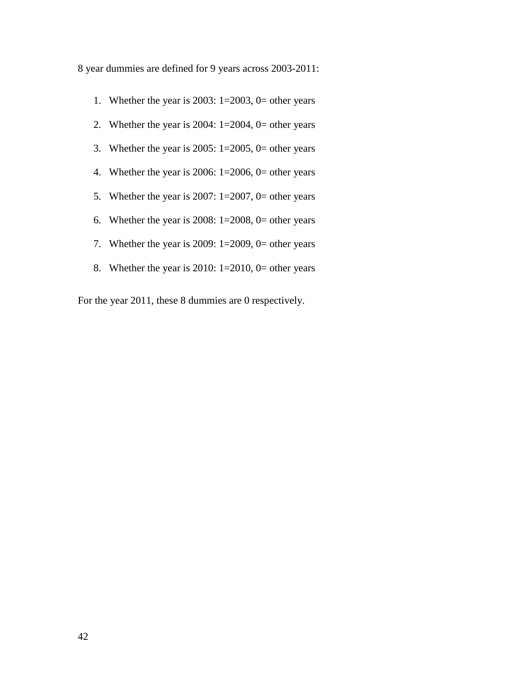8 year dummies are defined for 9 years across 2003-2011:

- 1. Whether the year is  $2003$ :  $1=2003$ ,  $0=$  other years
- 2. Whether the year is  $2004$ :  $1=2004$ ,  $0=$  other years
- 3. Whether the year is  $2005$ :  $1=2005$ ,  $0=$  other years
- 4. Whether the year is  $2006$ :  $1=2006$ ,  $0=$  other years
- 5. Whether the year is  $2007: 1=2007$ , 0= other years
- 6. Whether the year is  $2008: 1=2008$ , 0= other years
- 7. Whether the year is  $2009: 1=2009$ , 0= other years
- 8. Whether the year is  $2010: 1=2010$ , 0= other years

For the year 2011, these 8 dummies are 0 respectively.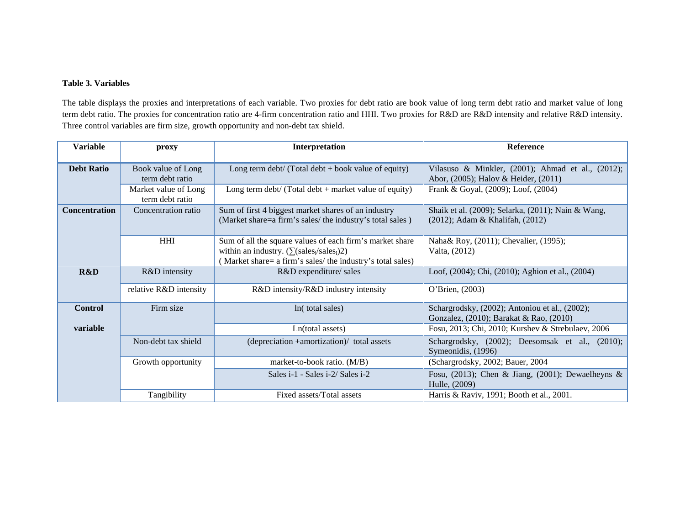#### **Table 3. Variables**

The table displays the proxies and interpretations of each variable. Two proxies for debt ratio are book value of long term debt ratio and market value of long term debt ratio. The proxies for concentration ratio are 4-firm concentration ratio and HHI. Two proxies for R&D are R&D intensity and relative R&D intensity. Three control variables are firm size, growth opportunity and non-debt tax shield.

| <b>Variable</b>      | proxy                                   | Interpretation                                                                                                                                                            | <b>Reference</b>                                                                           |
|----------------------|-----------------------------------------|---------------------------------------------------------------------------------------------------------------------------------------------------------------------------|--------------------------------------------------------------------------------------------|
| <b>Debt Ratio</b>    | Book value of Long<br>term debt ratio   | Long term $debt / (Total debt + book value of equity)$                                                                                                                    | Vilasuso & Minkler, (2001); Ahmad et al., (2012);<br>Abor, (2005); Halov & Heider, (2011)  |
|                      | Market value of Long<br>term debt ratio | Long term $debt / (Total debt + market value of equity)$                                                                                                                  | Frank & Goyal, (2009); Loof, (2004)                                                        |
| <b>Concentration</b> | Concentration ratio                     | Sum of first 4 biggest market shares of an industry<br>(Market share=a firm's sales/ the industry's total sales)                                                          | Shaik et al. (2009); Selarka, (2011); Nain & Wang,<br>$(2012)$ ; Adam & Khalifah, $(2012)$ |
|                      | <b>HHI</b>                              | Sum of all the square values of each firm's market share<br>within an industry. $(\sum (sales_i/sales_i)2)$<br>(Market share= a firm's sales/ the industry's total sales) | Naha& Roy, (2011); Chevalier, (1995);<br>Valta, (2012)                                     |
| R&D                  | R&D intensity                           | R&D expenditure/ sales                                                                                                                                                    | Loof, (2004); Chi, (2010); Aghion et al., (2004)                                           |
|                      | relative R&D intensity                  | R&D intensity/R&D industry intensity                                                                                                                                      | O'Brien, (2003)                                                                            |
| <b>Control</b>       | Firm size                               | ln(total sales)                                                                                                                                                           | Schargrodsky, (2002); Antoniou et al., (2002);<br>Gonzalez, (2010); Barakat & Rao, (2010)  |
| variable             |                                         | Ln(total assets)                                                                                                                                                          | Fosu, 2013; Chi, 2010; Kurshev & Strebulaev, 2006                                          |
|                      | Non-debt tax shield                     | (depreciation +amortization)/ total assets                                                                                                                                | Schargrodsky, (2002); Deesomsak et al., (2010);<br>Symeonidis, (1996)                      |
|                      | Growth opportunity                      | market-to-book ratio. (M/B)                                                                                                                                               | (Schargrodsky, 2002; Bauer, 2004)                                                          |
|                      |                                         | Sales i-1 - Sales i-2/ Sales i-2                                                                                                                                          | Fosu, (2013); Chen & Jiang, (2001); Dewaelheyns &<br>Hulle, (2009)                         |
|                      | Tangibility                             | Fixed assets/Total assets                                                                                                                                                 | Harris & Raviv, 1991; Booth et al., 2001.                                                  |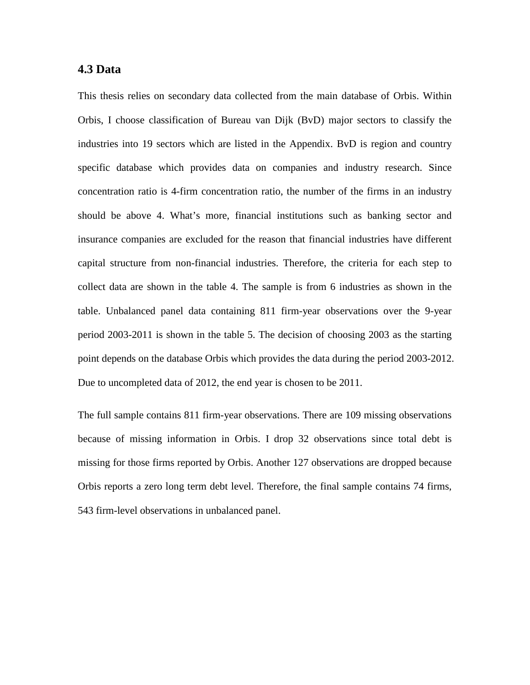# **4.3 Data**

This thesis relies on secondary data collected from the main database of Orbis. Within Orbis, I choose classification of Bureau van Dijk (BvD) major sectors to classify the industries into 19 sectors which are listed in the Appendix. BvD is region and country specific database which provides data on companies and industry research. Since concentration ratio is 4-firm concentration ratio, the number of the firms in an industry should be above 4. What's more, financial institutions such as banking sector and insurance companies are excluded for the reason that financial industries have different capital structure from non-financial industries. Therefore, the criteria for each step to collect data are shown in the table 4. The sample is from 6 industries as shown in the table. Unbalanced panel data containing 811 firm-year observations over the 9-year period 2003-2011 is shown in the table 5. The decision of choosing 2003 as the starting point depends on the database Orbis which provides the data during the period 2003-2012. Due to uncompleted data of 2012, the end year is chosen to be 2011.

The full sample contains 811 firm-year observations. There are 109 missing observations because of missing information in Orbis. I drop 32 observations since total debt is missing for those firms reported by Orbis. Another 127 observations are dropped because Orbis reports a zero long term debt level. Therefore, the final sample contains 74 firms, 543 firm-level observations in unbalanced panel.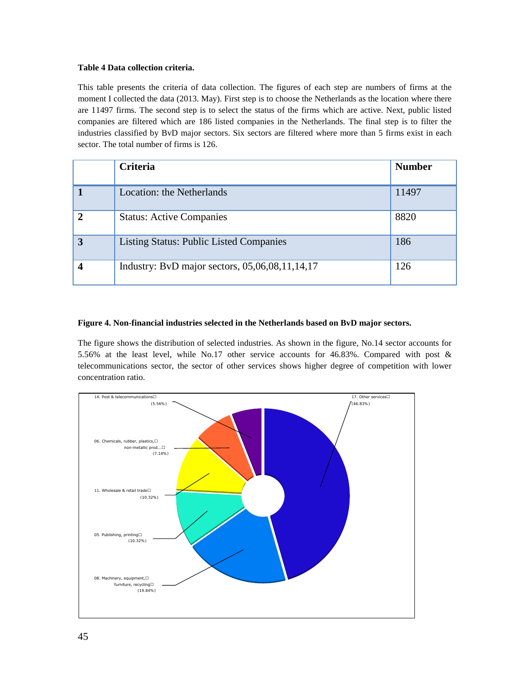#### **Table 4 Data collection criteria.**

This table presents the criteria of data collection. The figures of each step are numbers of firms at the moment I collected the data (2013. May). First step is to choose the Netherlands as the location where there are 11497 firms. The second step is to select the status of the firms which are active. Next, public listed companies are filtered which are 186 listed companies in the Netherlands. The final step is to filter the industries classified by BvD major sectors. Six sectors are filtered where more than 5 firms exist in each sector. The total number of firms is 126.

|             | <b>Criteria</b>                                  | <b>Number</b> |
|-------------|--------------------------------------------------|---------------|
|             | Location: the Netherlands                        | 11497         |
| $\mathbf 2$ | <b>Status: Active Companies</b>                  | 8820          |
| 3           | <b>Listing Status: Public Listed Companies</b>   | 186           |
|             | Industry: BvD major sectors, $05,06,08,11,14,17$ | 126           |

#### **Figure 4. Non-financial industries selected in the Netherlands based on BvD major sectors.**

The figure shows the distribution of selected industries. As shown in the figure, No.14 sector accounts for 5.56% at the least level, while No.17 other service accounts for 46.83%. Compared with post & telecommunications sector, the sector of other services shows higher degree of competition with lower concentration ratio.

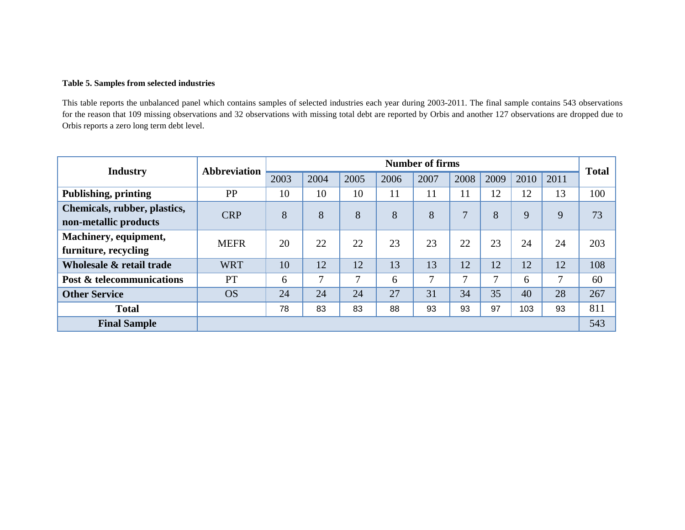#### **Table 5. Samples from selected industries**

This table reports the unbalanced panel which contains samples of selected industries each year during 2003-2011. The final sample contains 543 observations for the reason that 109 missing observations and 32 observations with missing total debt are reported by Orbis and another 127 observations are dropped due to Orbis reports a zero long term debt level.

| <b>Industry</b>                                       | <b>Abbreviation</b> | <b>Number of firms</b> |               |      |      |               |              |      |      | <b>Total</b> |     |
|-------------------------------------------------------|---------------------|------------------------|---------------|------|------|---------------|--------------|------|------|--------------|-----|
|                                                       |                     | 2003                   | 2004          | 2005 | 2006 | 2007          | 2008         | 2009 | 2010 | 2011         |     |
| Publishing, printing                                  | PP                  | 10                     | 10            | 10   | 11   | 11            | 11           | 12   | 12   | 13           | 100 |
| Chemicals, rubber, plastics,<br>non-metallic products | <b>CRP</b>          | 8                      | 8             | 8    | 8    | 8             | 7            | 8    | 9    | 9            | 73  |
| Machinery, equipment,<br>furniture, recycling         | <b>MEFR</b>         | 20                     | 22            | 22   | 23   | 23            | 22           | 23   | 24   | 24           | 203 |
| Wholesale & retail trade                              | <b>WRT</b>          | 10                     | 12            | 12   | 13   | 13            | 12           | 12   | 12   | 12           | 108 |
| <b>Post &amp; telecommunications</b>                  | PT                  | 6                      | $\mathcal{I}$ | 7    | 6    | $\mathcal{I}$ | $\mathbf{r}$ | 7    | 6    | 7            | 60  |
| <b>Other Service</b>                                  | <b>OS</b>           | 24                     | 24            | 24   | 27   | 31            | 34           | 35   | 40   | 28           | 267 |
| <b>Total</b>                                          |                     | 78                     | 83            | 83   | 88   | 93            | 93           | 97   | 103  | 93           | 811 |
| <b>Final Sample</b>                                   |                     |                        |               |      |      |               |              |      |      |              | 543 |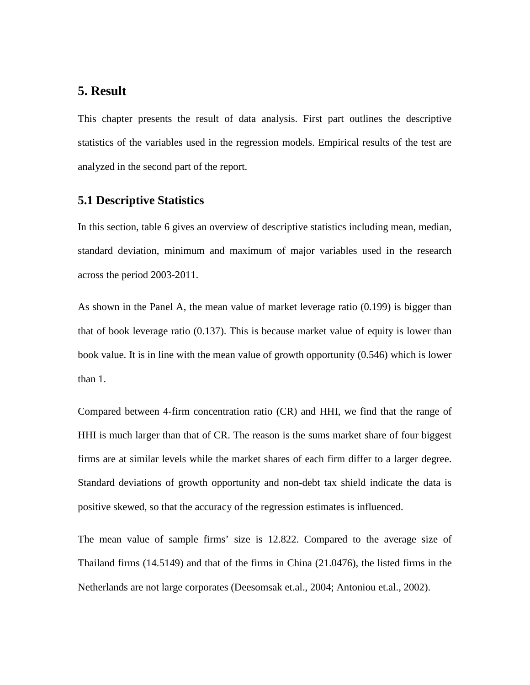# **5. Result**

This chapter presents the result of data analysis. First part outlines the descriptive statistics of the variables used in the regression models. Empirical results of the test are analyzed in the second part of the report.

# **5.1 Descriptive Statistics**

In this section, table 6 gives an overview of descriptive statistics including mean, median, standard deviation, minimum and maximum of major variables used in the research across the period 2003-2011.

As shown in the Panel A, the mean value of market leverage ratio (0.199) is bigger than that of book leverage ratio (0.137). This is because market value of equity is lower than book value. It is in line with the mean value of growth opportunity (0.546) which is lower than 1.

Compared between 4-firm concentration ratio (CR) and HHI, we find that the range of HHI is much larger than that of CR. The reason is the sums market share of four biggest firms are at similar levels while the market shares of each firm differ to a larger degree. Standard deviations of growth opportunity and non-debt tax shield indicate the data is positive skewed, so that the accuracy of the regression estimates is influenced.

The mean value of sample firms' size is 12.822. Compared to the average size of Thailand firms (14.5149) and that of the firms in China (21.0476), the listed firms in the Netherlands are not large corporates (Deesomsak et.al., 2004; Antoniou et.al., 2002).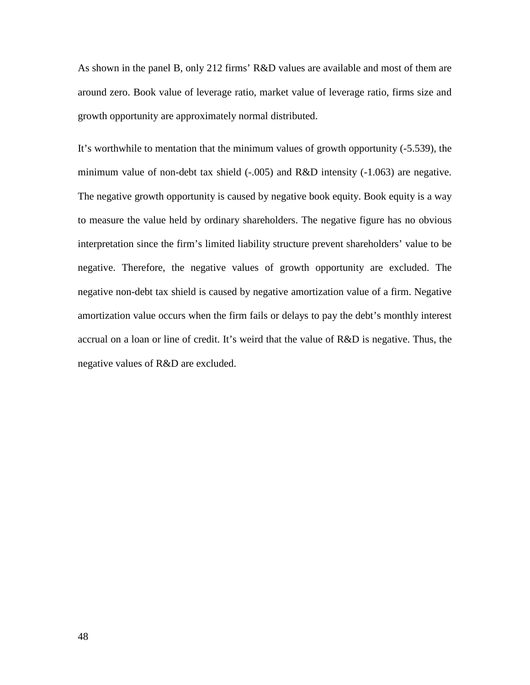As shown in the panel B, only 212 firms' R&D values are available and most of them are around zero. Book value of leverage ratio, market value of leverage ratio, firms size and growth opportunity are approximately normal distributed.

It's worthwhile to mentation that the minimum values of growth opportunity (-5.539), the minimum value of non-debt tax shield (-.005) and R&D intensity (-1.063) are negative. The negative growth opportunity is caused by negative book equity. Book equity is a way to measure the value held by ordinary shareholders. The negative figure has no obvious interpretation since the firm's limited liability structure prevent shareholders' value to be negative. Therefore, the negative values of growth opportunity are excluded. The negative non-debt tax shield is caused by negative amortization value of a firm. Negative amortization value occurs when the firm fails or delays to pay the debt's monthly interest accrual on a loan or line of credit. It's weird that the value of R&D is negative. Thus, the negative values of R&D are excluded.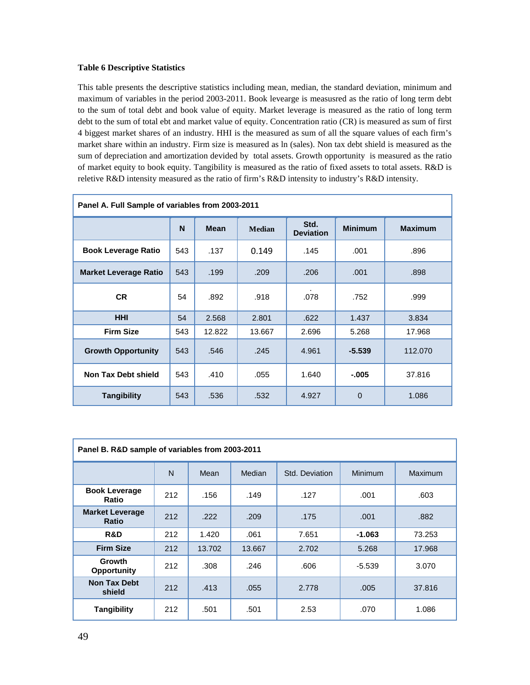#### **Table 6 Descriptive Statistics**

This table presents the descriptive statistics including mean, median, the standard deviation, minimum and maximum of variables in the period 2003-2011. Book levearge is measusred as the ratio of long term debt to the sum of total debt and book value of equity. Market leverage is measured as the ratio of long term debt to the sum of total ebt and market value of equity. Concentration ratio (CR) is measured as sum of first 4 biggest market shares of an industry. HHI is the measured as sum of all the square values of each firm's market share within an industry. Firm size is measured as ln (sales). Non tax debt shield is measured as the sum of depreciation and amortization devided by total assets. Growth opportunity is measured as the ratio of market equity to book equity. Tangibility is measured as the ratio of fixed assets to total assets. R&D is reletive R&D intensity measured as the ratio of firm's R&D intensity to industry's R&D intensity.

| Panel A. Full Sample of variables from 2003-2011 |     |             |               |                          |                |                |  |
|--------------------------------------------------|-----|-------------|---------------|--------------------------|----------------|----------------|--|
|                                                  | N   | <b>Mean</b> | <b>Median</b> | Std.<br><b>Deviation</b> | <b>Minimum</b> | <b>Maximum</b> |  |
| <b>Book Leverage Ratio</b>                       | 543 | .137        | 0.149         | .145                     | .001           | .896           |  |
| <b>Market Leverage Ratio</b>                     | 543 | .199        | .209          | .206                     | .001           | .898           |  |
| <b>CR</b>                                        | 54  | .892        | .918          | .078                     | .752           | .999           |  |
| <b>HHI</b>                                       | 54  | 2.568       | 2.801         | .622                     | 1.437          | 3.834          |  |
| <b>Firm Size</b>                                 | 543 | 12.822      | 13.667        | 2.696                    | 5.268          | 17.968         |  |
| <b>Growth Opportunity</b>                        | 543 | .546        | .245          | 4.961                    | $-5.539$       | 112.070        |  |
| <b>Non Tax Debt shield</b>                       | 543 | .410        | .055          | 1.640                    | -.005          | 37.816         |  |
| <b>Tangibility</b>                               | 543 | .536        | .532          | 4.927                    | $\Omega$       | 1.086          |  |

| Panel B. R&D sample of variables from 2003-2011 |     |        |        |                |                |                |  |
|-------------------------------------------------|-----|--------|--------|----------------|----------------|----------------|--|
|                                                 | N   | Mean   | Median | Std. Deviation | <b>Minimum</b> | <b>Maximum</b> |  |
| <b>Book Leverage</b><br>Ratio                   | 212 | .156   | .149   | .127           | .001           | .603           |  |
| <b>Market Leverage</b><br><b>Ratio</b>          | 212 | .222   | .209   | .175           | .001           | .882           |  |
| R&D                                             | 212 | 1.420  | .061   | 7.651          | $-1.063$       | 73.253         |  |
| <b>Firm Size</b>                                | 212 | 13.702 | 13.667 | 2.702          | 5.268          | 17.968         |  |
| <b>Growth</b><br><b>Opportunity</b>             | 212 | .308   | .246   | .606           | $-5.539$       | 3.070          |  |
| <b>Non Tax Debt</b><br>shield                   | 212 | .413   | .055   | 2.778          | .005           | 37.816         |  |
| <b>Tangibility</b>                              | 212 | .501   | .501   | 2.53           | .070           | 1.086          |  |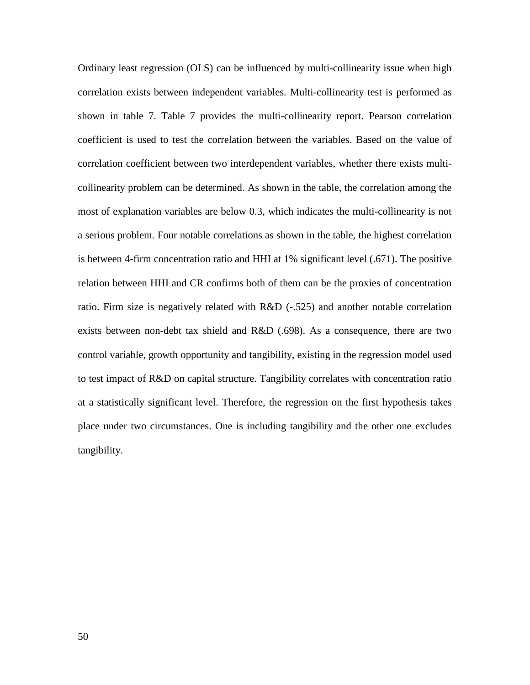Ordinary least regression (OLS) can be influenced by multi-collinearity issue when high correlation exists between independent variables. Multi-collinearity test is performed as shown in table 7. Table 7 provides the multi-collinearity report. Pearson correlation coefficient is used to test the correlation between the variables. Based on the value of correlation coefficient between two interdependent variables, whether there exists multicollinearity problem can be determined. As shown in the table, the correlation among the most of explanation variables are below 0.3, which indicates the multi-collinearity is not a serious problem. Four notable correlations as shown in the table, the highest correlation is between 4-firm concentration ratio and HHI at 1% significant level (.671). The positive relation between HHI and CR confirms both of them can be the proxies of concentration ratio. Firm size is negatively related with R&D (-.525) and another notable correlation exists between non-debt tax shield and R&D (.698). As a consequence, there are two control variable, growth opportunity and tangibility, existing in the regression model used to test impact of R&D on capital structure. Tangibility correlates with concentration ratio at a statistically significant level. Therefore, the regression on the first hypothesis takes place under two circumstances. One is including tangibility and the other one excludes tangibility.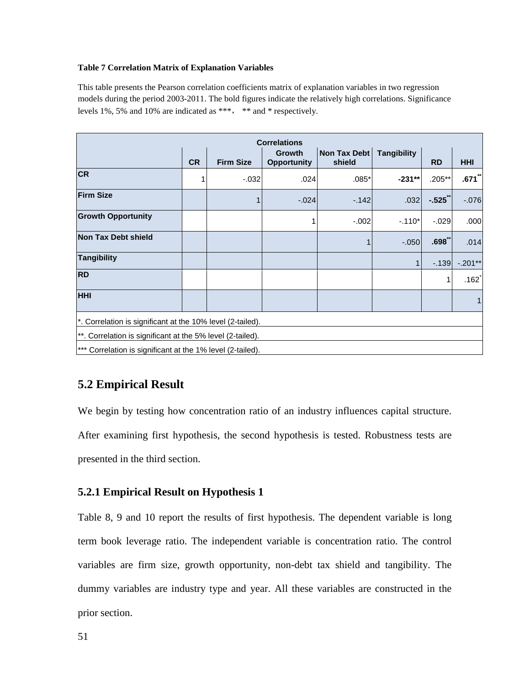#### **Table 7 Correlation Matrix of Explanation Variables**

This table presents the Pearson correlation coefficients matrix of explanation variables in two regression models during the period 2003-2011. The bold figures indicate the relatively high correlations. Significance levels 1%, 5% and 10% are indicated as \*\*\*, \*\* and \* respectively.

| <b>Correlations</b>                                        |           |                  |                              |                        |                    |           |                     |  |  |
|------------------------------------------------------------|-----------|------------------|------------------------------|------------------------|--------------------|-----------|---------------------|--|--|
|                                                            | <b>CR</b> | <b>Firm Size</b> | Growth<br><b>Opportunity</b> | Non Tax Debt<br>shield | <b>Tangibility</b> | <b>RD</b> | <b>HHI</b>          |  |  |
| <b>CR</b>                                                  | 1         | $-.032$          | .024                         | $.085*$                | $-231**$           | $.205**$  | .671                |  |  |
| <b>Firm Size</b>                                           |           |                  | $-.024$                      | $-142$                 | .032               | $-0.525$  | $-0.076$            |  |  |
| <b>Growth Opportunity</b>                                  |           |                  |                              | $-.002$                | $-.110*$           | $-0.029$  | .000                |  |  |
| Non Tax Debt shield                                        |           |                  |                              |                        | $-.050$            | .698      | .014                |  |  |
| <b>Tangibility</b>                                         |           |                  |                              |                        |                    | $-139$    | $-.201**$           |  |  |
| <b>RD</b>                                                  |           |                  |                              |                        |                    | 1         | $.162$ <sup>*</sup> |  |  |
| <b>HHI</b>                                                 | 1         |                  |                              |                        |                    |           |                     |  |  |
| *. Correlation is significant at the 10% level (2-tailed). |           |                  |                              |                        |                    |           |                     |  |  |
| **. Correlation is significant at the 5% level (2-tailed). |           |                  |                              |                        |                    |           |                     |  |  |
| *** Correlation is significant at the 1% level (2-tailed). |           |                  |                              |                        |                    |           |                     |  |  |

# **5.2 Empirical Result**

We begin by testing how concentration ratio of an industry influences capital structure. After examining first hypothesis, the second hypothesis is tested. Robustness tests are presented in the third section.

# **5.2.1 Empirical Result on Hypothesis 1**

Table 8, 9 and 10 report the results of first hypothesis. The dependent variable is long term book leverage ratio. The independent variable is concentration ratio. The control variables are firm size, growth opportunity, non-debt tax shield and tangibility. The dummy variables are industry type and year. All these variables are constructed in the prior section.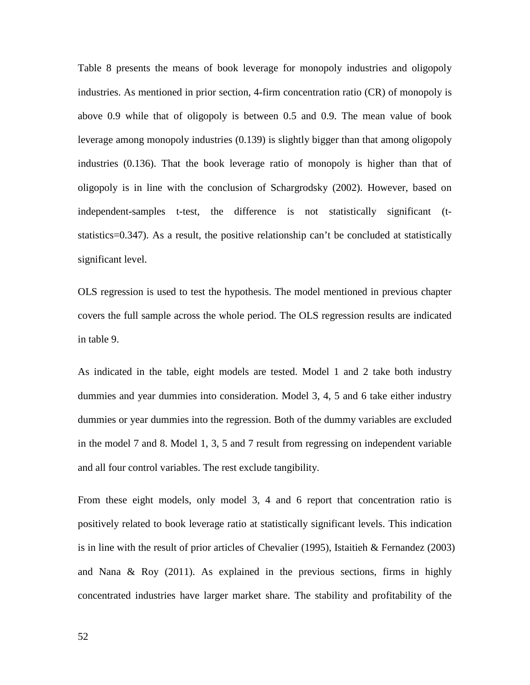Table 8 presents the means of book leverage for monopoly industries and oligopoly industries. As mentioned in prior section, 4-firm concentration ratio (CR) of monopoly is above 0.9 while that of oligopoly is between 0.5 and 0.9. The mean value of book leverage among monopoly industries (0.139) is slightly bigger than that among oligopoly industries (0.136). That the book leverage ratio of monopoly is higher than that of oligopoly is in line with the conclusion of Schargrodsky (2002). However, based on independent-samples t-test, the difference is not statistically significant (tstatistics=0.347). As a result, the positive relationship can't be concluded at statistically significant level.

OLS regression is used to test the hypothesis. The model mentioned in previous chapter covers the full sample across the whole period. The OLS regression results are indicated in table 9.

As indicated in the table, eight models are tested. Model 1 and 2 take both industry dummies and year dummies into consideration. Model 3, 4, 5 and 6 take either industry dummies or year dummies into the regression. Both of the dummy variables are excluded in the model 7 and 8. Model 1, 3, 5 and 7 result from regressing on independent variable and all four control variables. The rest exclude tangibility.

From these eight models, only model 3, 4 and 6 report that concentration ratio is positively related to book leverage ratio at statistically significant levels. This indication is in line with the result of prior articles of Chevalier (1995), Istaitieh & Fernandez (2003) and Nana & Roy (2011). As explained in the previous sections, firms in highly concentrated industries have larger market share. The stability and profitability of the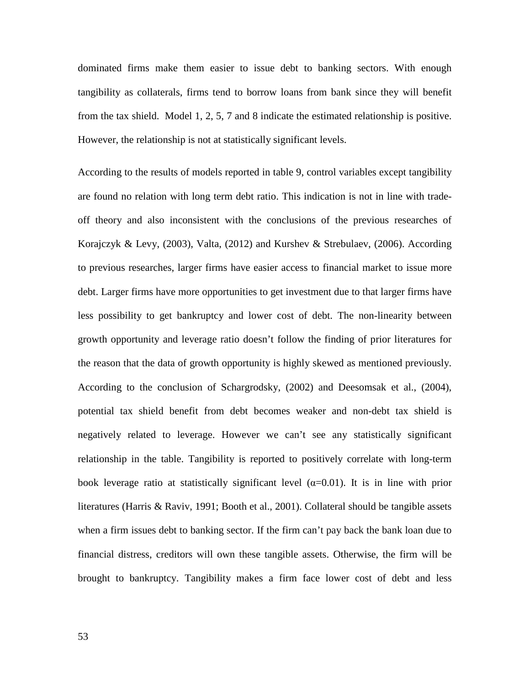dominated firms make them easier to issue debt to banking sectors. With enough tangibility as collaterals, firms tend to borrow loans from bank since they will benefit from the tax shield. Model 1, 2, 5, 7 and 8 indicate the estimated relationship is positive. However, the relationship is not at statistically significant levels.

According to the results of models reported in table 9, control variables except tangibility are found no relation with long term debt ratio. This indication is not in line with tradeoff theory and also inconsistent with the conclusions of the previous researches of Korajczyk & Levy, (2003), Valta, (2012) and Kurshev & Strebulaev, (2006). According to previous researches, larger firms have easier access to financial market to issue more debt. Larger firms have more opportunities to get investment due to that larger firms have less possibility to get bankruptcy and lower cost of debt. The non-linearity between growth opportunity and leverage ratio doesn't follow the finding of prior literatures for the reason that the data of growth opportunity is highly skewed as mentioned previously. According to the conclusion of Schargrodsky, (2002) and Deesomsak et al., (2004), potential tax shield benefit from debt becomes weaker and non-debt tax shield is negatively related to leverage. However we can't see any statistically significant relationship in the table. Tangibility is reported to positively correlate with long-term book leverage ratio at statistically significant level  $(\alpha=0.01)$ . It is in line with prior literatures (Harris & Raviv, 1991; Booth et al., 2001). Collateral should be tangible assets when a firm issues debt to banking sector. If the firm can't pay back the bank loan due to financial distress, creditors will own these tangible assets. Otherwise, the firm will be brought to bankruptcy. Tangibility makes a firm face lower cost of debt and less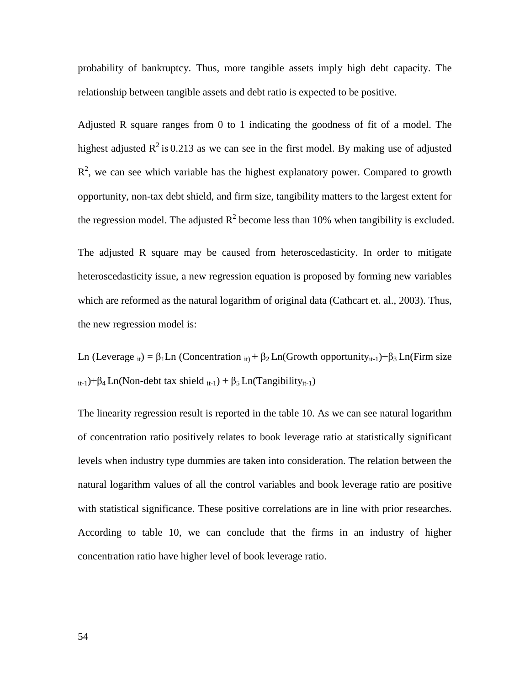probability of bankruptcy. Thus, more tangible assets imply high debt capacity. The relationship between tangible assets and debt ratio is expected to be positive.

Adjusted R square ranges from 0 to 1 indicating the goodness of fit of a model. The highest adjusted  $R^2$  is 0.213 as we can see in the first model. By making use of adjusted  $R<sup>2</sup>$ , we can see which variable has the highest explanatory power. Compared to growth opportunity, non-tax debt shield, and firm size, tangibility matters to the largest extent for the regression model. The adjusted  $R^2$  become less than 10% when tangibility is excluded.

The adjusted R square may be caused from heteroscedasticity. In order to mitigate heteroscedasticity issue, a new regression equation is proposed by forming new variables which are reformed as the natural logarithm of original data (Cathcart et. al., 2003). Thus, the new regression model is:

Ln (Leverage  $_{it}$ ) =  $\beta_1$ Ln (Concentration  $_{it}$ ) +  $\beta_2$ Ln(Growth opportunity<sub>it-1</sub>)+ $\beta_3$ Ln(Firm size  $_{it-1}$ )+β<sub>4</sub> Ln(Non-debt tax shield  $_{it-1}$ ) + β<sub>5</sub> Ln(Tangibility<sub>it-1</sub>)

The linearity regression result is reported in the table 10. As we can see natural logarithm of concentration ratio positively relates to book leverage ratio at statistically significant levels when industry type dummies are taken into consideration. The relation between the natural logarithm values of all the control variables and book leverage ratio are positive with statistical significance. These positive correlations are in line with prior researches. According to table 10, we can conclude that the firms in an industry of higher concentration ratio have higher level of book leverage ratio.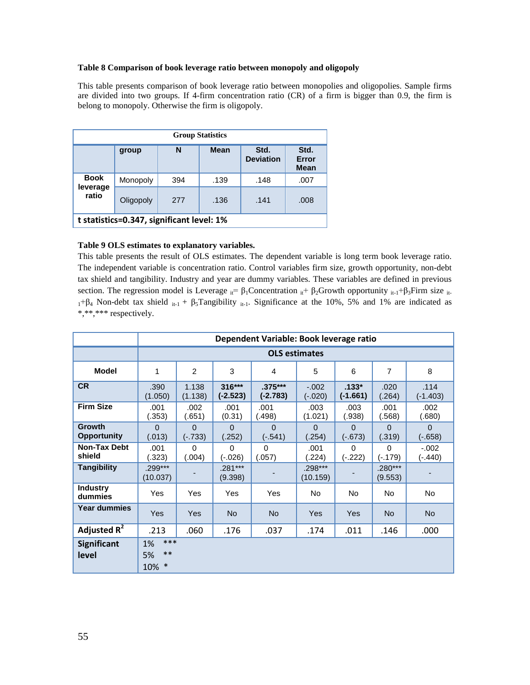#### **Table 8 Comparison of book leverage ratio between monopoly and oligopoly**

This table presents comparison of book leverage ratio between monopolies and oligopolies. Sample firms are divided into two groups. If 4-firm concentration ratio (CR) of a firm is bigger than 0.9, the firm is belong to monopoly. Otherwise the firm is oligopoly.

| <b>Group Statistics</b> |                                           |     |             |                          |                              |  |
|-------------------------|-------------------------------------------|-----|-------------|--------------------------|------------------------------|--|
|                         | group                                     | N   | <b>Mean</b> | Std.<br><b>Deviation</b> | Std.<br>Error<br><b>Mean</b> |  |
| <b>Book</b>             | Monopoly                                  | 394 | .139        | .148                     | .007                         |  |
| leverage<br>ratio       | Oligopoly                                 | 277 | .136        | .141                     | .008                         |  |
|                         | t statistics=0.347, significant level: 1% |     |             |                          |                              |  |

#### **Table 9 OLS estimates to explanatory variables.**

This table presents the result of OLS estimates. The dependent variable is long term book leverage ratio. The independent variable is concentration ratio. Control variables firm size, growth opportunity, non-debt tax shield and tangibility. Industry and year are dummy variables. These variables are defined in previous section. The regression model is Leverage  $_{it} = \beta_1$ Concentration  $_{it} + \beta_2$ Growth opportunity  $_{it-1} + \beta_3$ Firm size <sub>it-</sub>  $1+\beta_4$  Non-debt tax shield  $i_{t-1} + \beta_5$ Tangibility  $i_{t-1}$ . Significance at the 10%, 5% and 1% are indicated as \*,\*\*,\*\*\* respectively.

|                                     |                                          | Dependent Variable: Book leverage ratio |                      |                         |                      |                       |                    |                       |  |
|-------------------------------------|------------------------------------------|-----------------------------------------|----------------------|-------------------------|----------------------|-----------------------|--------------------|-----------------------|--|
|                                     | <b>OLS estimates</b>                     |                                         |                      |                         |                      |                       |                    |                       |  |
| Model                               | 1                                        | $\overline{2}$                          | 3                    | 4                       | 5                    | 6                     | 7                  | 8                     |  |
| <b>CR</b>                           | .390<br>(1.050)                          | 1.138<br>(1.138)                        | 316***<br>$(-2.523)$ | $.375***$<br>$(-2.783)$ | $-.002$<br>$(-.020)$ | $.133*$<br>$(-1.661)$ | .020<br>(.264)     | .114<br>$(-1.403)$    |  |
| <b>Firm Size</b>                    | .001<br>(.353)                           | .002<br>(.651)                          | .001<br>(0.31)       | .001<br>.498)           | .003<br>(1.021)      | .003<br>(.938)        | .001<br>(.568)     | .002<br>(.680)        |  |
| <b>Growth</b><br><b>Opportunity</b> | $\Omega$<br>(.013)                       | $\Omega$<br>$(-.733)$                   | $\Omega$<br>(.252)   | $\Omega$<br>$(-.541)$   | $\Omega$<br>(.254)   | $\Omega$<br>$(-.673)$ | $\Omega$<br>(.319) | $\Omega$<br>$(-.658)$ |  |
| <b>Non-Tax Debt</b><br>shield       | .001<br>(.323)                           | $\Omega$<br>(.004)                      | $\Omega$<br>(-.026)  | $\Omega$<br>(.057)      | .001<br>(.224)       | $\Omega$<br>$(-.222)$ | 0<br>$(-.179)$     | $-.002$<br>$(-.440)$  |  |
| <b>Tangibility</b>                  | $.299***$<br>(10.037)                    |                                         | $.281***$<br>(9.398) |                         | .298***<br>(10.159)  |                       | .280***<br>(9.553) |                       |  |
| <b>Industry</b><br>dummies          | Yes                                      | Yes                                     | Yes                  | Yes                     | No.                  | No.                   | <b>No</b>          | No.                   |  |
| <b>Year dummies</b>                 | Yes                                      | Yes                                     | <b>No</b>            | <b>No</b>               | Yes                  | <b>Yes</b>            | <b>No</b>          | <b>No</b>             |  |
| Adjusted $R^2$                      | .213                                     | .060                                    | .176                 | .037                    | .174                 | .011                  | .146               | .000                  |  |
| <b>Significant</b><br>level         | ***<br>1%<br>$**$<br>5%<br>$\ast$<br>10% |                                         |                      |                         |                      |                       |                    |                       |  |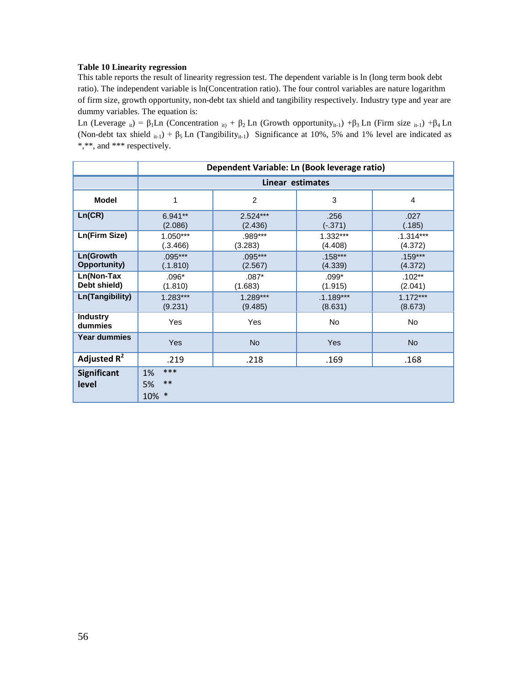#### **Table 10 Linearity regression**

This table reports the result of linearity regression test. The dependent variable is ln (long term book debt ratio). The independent variable is ln(Concentration ratio). The four control variables are nature logarithm of firm size, growth opportunity, non-debt tax shield and tangibility respectively. Industry type and year are dummy variables. The equation is:

Ln (Leverage  $_{it}$ ) = β<sub>1</sub>Ln (Concentration  $_{it}$ ) + β<sub>2</sub>Ln (Growth opportunity<sub>it-1</sub>) + β<sub>3</sub>Ln (Firm size  $_{it-1}$ ) + β<sub>4</sub>Ln (Non-debt tax shield  $_{it-1}$ ) +  $\beta_5$  Ln (Tangibility<sub>it-1</sub>) Significance at 10%, 5% and 1% level are indicated as \*,\*\*, and \*\*\* respectively.

|                                  | Dependent Variable: Ln (Book leverage ratio) |                       |                        |                        |  |  |  |
|----------------------------------|----------------------------------------------|-----------------------|------------------------|------------------------|--|--|--|
|                                  | Linear estimates                             |                       |                        |                        |  |  |  |
| <b>Model</b>                     | 1                                            | 2                     | 3                      | 4                      |  |  |  |
| Ln(CR)                           | $6.941**$<br>(2.086)                         | $2.524***$<br>(2.436) | .256<br>$(-.371)$      | .027<br>(.185)         |  |  |  |
| Ln(Firm Size)                    | $1.050***$<br>(.3.466)                       | .989***<br>(3.283)    | $1.332***$<br>(4.408)  | $.1.314***$<br>(4.372) |  |  |  |
| Ln(Growth<br><b>Opportunity)</b> | $.095***$<br>(.1.810)                        | $.095***$<br>(2.567)  | $.158***$<br>(4.339)   | $.159***$<br>(4.372)   |  |  |  |
| Ln(Non-Tax<br>Debt shield)       | $.096*$<br>(1.810)                           | $.087*$<br>(1.683)    | $.099*$<br>(1.915)     | $.102***$<br>(2.041)   |  |  |  |
| Ln(Tangibility)                  | $1.283***$<br>(9.231)                        | $1.289***$<br>(9.485) | $.1.189***$<br>(8.631) | $1.172***$<br>(8.673)  |  |  |  |
| <b>Industry</b><br>dummies       | Yes                                          | Yes                   | <b>No</b>              | No                     |  |  |  |
| Year dummies                     | <b>Yes</b>                                   | <b>No</b>             | <b>Yes</b>             | <b>No</b>              |  |  |  |
| Adjusted $R^2$                   | .219                                         | .218                  | .169                   | .168                   |  |  |  |
| <b>Significant</b><br>level      | ***<br>1%<br>$***$<br>5%<br>$\ast$<br>10%    |                       |                        |                        |  |  |  |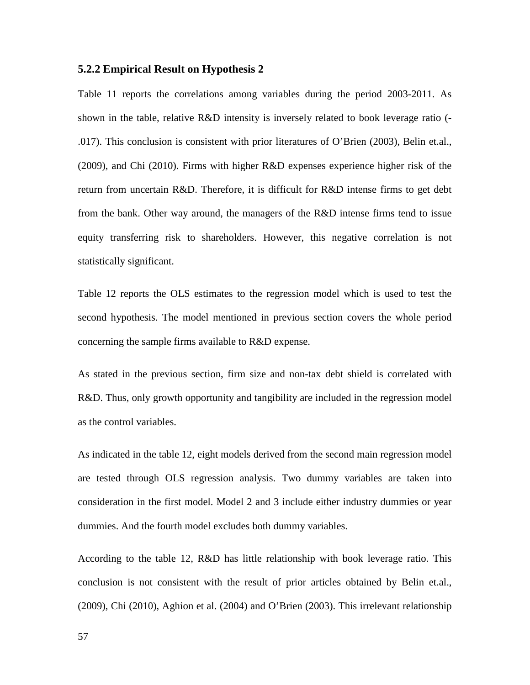#### **5.2.2 Empirical Result on Hypothesis 2**

Table 11 reports the correlations among variables during the period 2003-2011. As shown in the table, relative R&D intensity is inversely related to book leverage ratio (- .017). This conclusion is consistent with prior literatures of O'Brien (2003), Belin et.al., (2009), and Chi (2010). Firms with higher R&D expenses experience higher risk of the return from uncertain R&D. Therefore, it is difficult for R&D intense firms to get debt from the bank. Other way around, the managers of the R&D intense firms tend to issue equity transferring risk to shareholders. However, this negative correlation is not statistically significant.

Table 12 reports the OLS estimates to the regression model which is used to test the second hypothesis. The model mentioned in previous section covers the whole period concerning the sample firms available to R&D expense.

As stated in the previous section, firm size and non-tax debt shield is correlated with R&D. Thus, only growth opportunity and tangibility are included in the regression model as the control variables.

As indicated in the table 12, eight models derived from the second main regression model are tested through OLS regression analysis. Two dummy variables are taken into consideration in the first model. Model 2 and 3 include either industry dummies or year dummies. And the fourth model excludes both dummy variables.

According to the table 12, R&D has little relationship with book leverage ratio. This conclusion is not consistent with the result of prior articles obtained by Belin et.al., (2009), Chi (2010), Aghion et al. (2004) and O'Brien (2003). This irrelevant relationship

57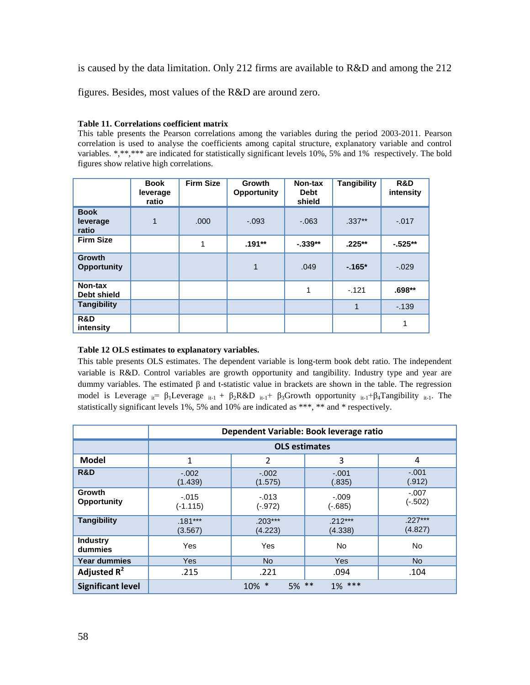is caused by the data limitation. Only 212 firms are available to R&D and among the 212

figures. Besides, most values of the R&D are around zero.

#### **Table 11. Correlations coefficient matrix**

This table presents the Pearson correlations among the variables during the period 2003-2011. Pearson correlation is used to analyse the coefficients among capital structure, explanatory variable and control variables. \*,\*\*,\*\*\* are indicated for statistically significant levels 10%, 5% and 1% respectively. The bold figures show relative high correlations.

|                                     | <b>Book</b><br>leverage<br>ratio | <b>Firm Size</b> | Growth<br><b>Opportunity</b> | Non-tax<br><b>Debt</b><br>shield | <b>Tangibility</b> | R&D<br>intensity |
|-------------------------------------|----------------------------------|------------------|------------------------------|----------------------------------|--------------------|------------------|
| <b>Book</b><br>leverage<br>ratio    | 1                                | .000             | $-.093$                      | $-.063$                          | $.337***$          | $-.017$          |
| <b>Firm Size</b>                    |                                  | 1                | $.191**$                     | $-.339**$                        | $.225**$           | $-525**$         |
| <b>Growth</b><br><b>Opportunity</b> |                                  |                  | 1                            | .049                             | $-165*$            | $-.029$          |
| Non-tax<br>Debt shield              |                                  |                  |                              | 1                                | $-121$             | $.698**$         |
| <b>Tangibility</b>                  |                                  |                  |                              |                                  | 1                  | $-139$           |
| R&D<br>intensity                    |                                  |                  |                              |                                  |                    | 1                |

#### **Table 12 OLS estimates to explanatory variables.**

This table presents OLS estimates. The dependent variable is long-term book debt ratio. The independent variable is R&D. Control variables are growth opportunity and tangibility. Industry type and year are dummy variables. The estimated β and t-statistic value in brackets are shown in the table. The regression model is Leverage  $_{it} = \beta_1$ Leverage  $_{it-1} + \beta_2 R \& D_{it-1} + \beta_3$ Growth opportunity  $_{it-1} + \beta_4$ Tangibility  $_{it-1}$ . The statistically significant levels 1%, 5% and 10% are indicated as \*\*\*, \*\* and \* respectively.

|                              |                       | Dependent Variable: Book leverage ratio |                      |                      |  |  |  |  |  |
|------------------------------|-----------------------|-----------------------------------------|----------------------|----------------------|--|--|--|--|--|
|                              |                       | <b>OLS estimates</b>                    |                      |                      |  |  |  |  |  |
| <b>Model</b>                 | 1                     | $\overline{2}$                          | 3                    | 4                    |  |  |  |  |  |
| R&D                          | $-.002$<br>(1.439)    | $-.002$<br>(1.575)                      | $-.001$<br>(.835)    | $-.001$<br>(.912)    |  |  |  |  |  |
| Growth<br><b>Opportunity</b> | $-.015$<br>$(-1.115)$ | $-.013$<br>$(-.972)$                    | $-.009$<br>$(-.685)$ | $-.007$<br>$(-.502)$ |  |  |  |  |  |
| <b>Tangibility</b>           | $.181***$<br>(3.567)  | $.203***$<br>(4.223)                    | $.212***$<br>(4.338) | $.227***$<br>(4.827) |  |  |  |  |  |
| <b>Industry</b><br>dummies   | Yes                   | Yes                                     | No.                  | <b>No</b>            |  |  |  |  |  |
| <b>Year dummies</b>          | <b>Yes</b>            | <b>No</b>                               | Yes                  | No.                  |  |  |  |  |  |
| Adjusted $R^2$               | .215                  | .221<br>.094<br>.104                    |                      |                      |  |  |  |  |  |
| <b>Significant level</b>     |                       | $5\%$ **<br>$10\%$ *                    | $1\%$ ***            |                      |  |  |  |  |  |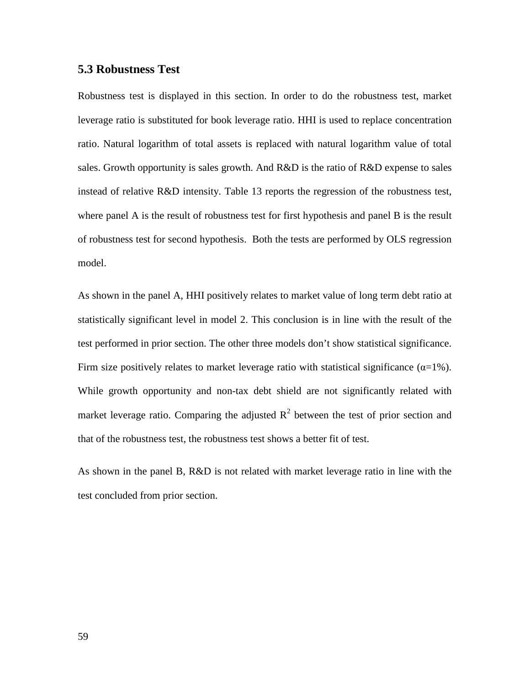# **5.3 Robustness Test**

Robustness test is displayed in this section. In order to do the robustness test, market leverage ratio is substituted for book leverage ratio. HHI is used to replace concentration ratio. Natural logarithm of total assets is replaced with natural logarithm value of total sales. Growth opportunity is sales growth. And R&D is the ratio of R&D expense to sales instead of relative R&D intensity. Table 13 reports the regression of the robustness test, where panel A is the result of robustness test for first hypothesis and panel B is the result of robustness test for second hypothesis. Both the tests are performed by OLS regression model.

As shown in the panel A, HHI positively relates to market value of long term debt ratio at statistically significant level in model 2. This conclusion is in line with the result of the test performed in prior section. The other three models don't show statistical significance. Firm size positively relates to market leverage ratio with statistical significance  $(\alpha=1\%)$ . While growth opportunity and non-tax debt shield are not significantly related with market leverage ratio. Comparing the adjusted  $R^2$  between the test of prior section and that of the robustness test, the robustness test shows a better fit of test.

As shown in the panel B, R&D is not related with market leverage ratio in line with the test concluded from prior section.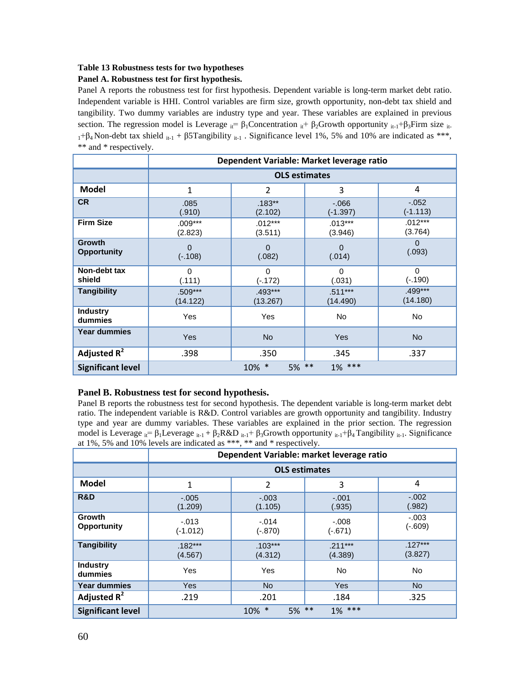#### **Table 13 Robustness tests for two hypotheses**

#### **Panel A. Robustness test for first hypothesis.**

Panel A reports the robustness test for first hypothesis. Dependent variable is long-term market debt ratio. Independent variable is HHI. Control variables are firm size, growth opportunity, non-debt tax shield and tangibility. Two dummy variables are industry type and year. These variables are explained in previous section. The regression model is Leverage  $_{ii} = \beta_1$ Concentration  $_{ii} + \beta_2$ Growth opportunity  $_{i}i_{-1}+\beta_3$ Firm size  $_{i}i_{-1}$  $1+\beta_4$  Non-debt tax shield  $i_{t-1} + \beta 5$ Tangibility  $i_{t-1}$ . Significance level 1%, 5% and 10% are indicated as \*\*\*, \*\* and \* respectively.

|                                     |                          |                       | Dependent Variable: Market leverage ratio |                       |  |  |  |  |
|-------------------------------------|--------------------------|-----------------------|-------------------------------------------|-----------------------|--|--|--|--|
|                                     | <b>OLS estimates</b>     |                       |                                           |                       |  |  |  |  |
| <b>Model</b>                        | 1                        | $\overline{2}$        | 3                                         | 4                     |  |  |  |  |
| <b>CR</b>                           | .085<br>(.910)           | $.183***$<br>(2.102)  | $-0.066$<br>$(-1.397)$                    | $-.052$<br>$(-1.113)$ |  |  |  |  |
| <b>Firm Size</b>                    | $.009***$<br>(2.823)     | $.012***$<br>(3.511)  | $.013***$<br>(3.946)                      | $.012***$<br>(3.764)  |  |  |  |  |
| <b>Growth</b><br><b>Opportunity</b> | $\mathbf 0$<br>$(-.108)$ | 0<br>(.082)           | 0<br>(.014)                               | $\Omega$<br>(.093)    |  |  |  |  |
| Non-debt tax<br>shield              | $\Omega$<br>(.111)       | $\Omega$<br>$(-.172)$ | $\Omega$<br>(.031)                        | $\Omega$<br>$(-.190)$ |  |  |  |  |
| <b>Tangibility</b>                  | .509***<br>(14.122)      | $.493***$<br>(13.267) | $.511***$<br>(14.490)                     | .499***<br>(14.180)   |  |  |  |  |
| <b>Industry</b><br>dummies          | Yes                      | <b>Yes</b>            | No                                        | No                    |  |  |  |  |
| <b>Year dummies</b>                 | <b>Yes</b>               | <b>No</b>             | <b>Yes</b>                                | <b>No</b>             |  |  |  |  |
| Adjusted $R^2$                      | .398                     | .350                  | .345                                      | .337                  |  |  |  |  |
| <b>Significant level</b>            |                          | 5% **<br>$10\%$ *     | $1\%$ ***                                 |                       |  |  |  |  |

#### **Panel B. Robustness test for second hypothesis.**

Panel B reports the robustness test for second hypothesis. The dependent variable is long-term market debt ratio. The independent variable is R&D. Control variables are growth opportunity and tangibility. Industry type and year are dummy variables. These variables are explained in the prior section. The regression model is Leverage  $_{it} = \beta_1$ Leverage  $_{it-1} + \beta_2 R \& D_{it-1} + \beta_3$ Growth opportunity  $_{it-1} + \beta_4$  Tangibility  $_{it-1}$ . Significance at 1%, 5% and 10% levels are indicated as \*\*\*, \*\* and \* respectively.

|                            | Dependent Variable: market leverage ratio |                      |                      |                      |
|----------------------------|-------------------------------------------|----------------------|----------------------|----------------------|
|                            | <b>OLS</b> estimates                      |                      |                      |                      |
| <b>Model</b>               | 1                                         | 2                    | 3                    | 4                    |
| R&D                        | $-.005$<br>(1.209)                        | $-.003$<br>(1.105)   | $-.001$<br>(.935)    | $-.002$<br>(.982)    |
| Growth<br>Opportunity      | $-.013$<br>$(-1.012)$                     | $-.014$<br>$(-.870)$ | $-.008$<br>$(-.671)$ | $-.003$<br>$(-.609)$ |
| <b>Tangibility</b>         | $.182***$<br>(4.567)                      | $.103***$<br>(4.312) | $.211***$<br>(4.389) | $.127***$<br>(3.827) |
| <b>Industry</b><br>dummies | Yes                                       | Yes                  | <b>No</b>            | <b>No</b>            |
| <b>Year dummies</b>        | Yes                                       | No.                  | <b>Yes</b>           | No.                  |
| Adjusted $R^2$             | .219                                      | .201                 | .184                 | .325                 |
| <b>Significant level</b>   | $1\%$ ***<br>$5\%$ **<br>$10\%$ *         |                      |                      |                      |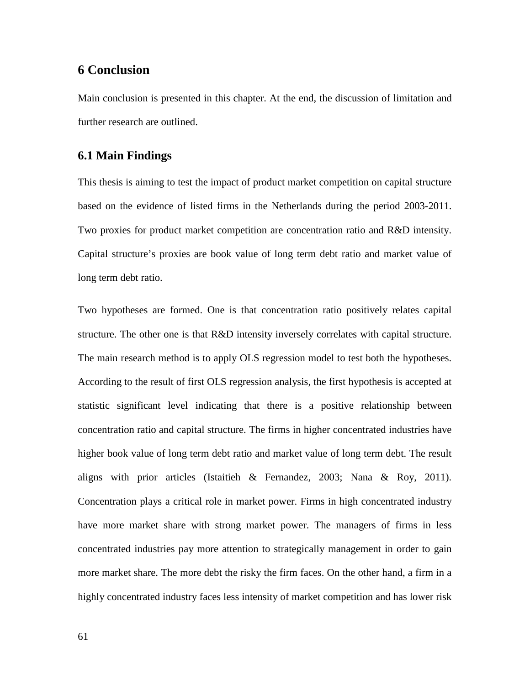# **6 Conclusion**

Main conclusion is presented in this chapter. At the end, the discussion of limitation and further research are outlined.

# **6.1 Main Findings**

This thesis is aiming to test the impact of product market competition on capital structure based on the evidence of listed firms in the Netherlands during the period 2003-2011. Two proxies for product market competition are concentration ratio and R&D intensity. Capital structure's proxies are book value of long term debt ratio and market value of long term debt ratio.

Two hypotheses are formed. One is that concentration ratio positively relates capital structure. The other one is that R&D intensity inversely correlates with capital structure. The main research method is to apply OLS regression model to test both the hypotheses. According to the result of first OLS regression analysis, the first hypothesis is accepted at statistic significant level indicating that there is a positive relationship between concentration ratio and capital structure. The firms in higher concentrated industries have higher book value of long term debt ratio and market value of long term debt. The result aligns with prior articles (Istaitieh & Fernandez, 2003; Nana & Roy, 2011). Concentration plays a critical role in market power. Firms in high concentrated industry have more market share with strong market power. The managers of firms in less concentrated industries pay more attention to strategically management in order to gain more market share. The more debt the risky the firm faces. On the other hand, a firm in a highly concentrated industry faces less intensity of market competition and has lower risk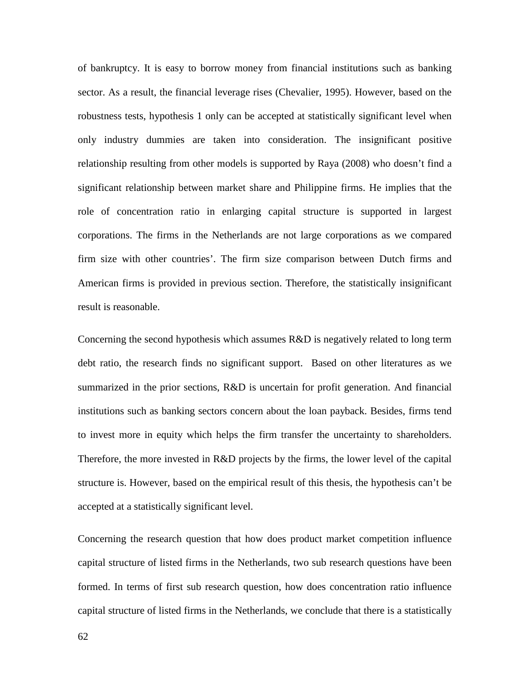of bankruptcy. It is easy to borrow money from financial institutions such as banking sector. As a result, the financial leverage rises (Chevalier, 1995). However, based on the robustness tests, hypothesis 1 only can be accepted at statistically significant level when only industry dummies are taken into consideration. The insignificant positive relationship resulting from other models is supported by Raya (2008) who doesn't find a significant relationship between market share and Philippine firms. He implies that the role of concentration ratio in enlarging capital structure is supported in largest corporations. The firms in the Netherlands are not large corporations as we compared firm size with other countries'. The firm size comparison between Dutch firms and American firms is provided in previous section. Therefore, the statistically insignificant result is reasonable.

Concerning the second hypothesis which assumes R&D is negatively related to long term debt ratio, the research finds no significant support. Based on other literatures as we summarized in the prior sections, R&D is uncertain for profit generation. And financial institutions such as banking sectors concern about the loan payback. Besides, firms tend to invest more in equity which helps the firm transfer the uncertainty to shareholders. Therefore, the more invested in R&D projects by the firms, the lower level of the capital structure is. However, based on the empirical result of this thesis, the hypothesis can't be accepted at a statistically significant level.

Concerning the research question that how does product market competition influence capital structure of listed firms in the Netherlands, two sub research questions have been formed. In terms of first sub research question, how does concentration ratio influence capital structure of listed firms in the Netherlands, we conclude that there is a statistically

62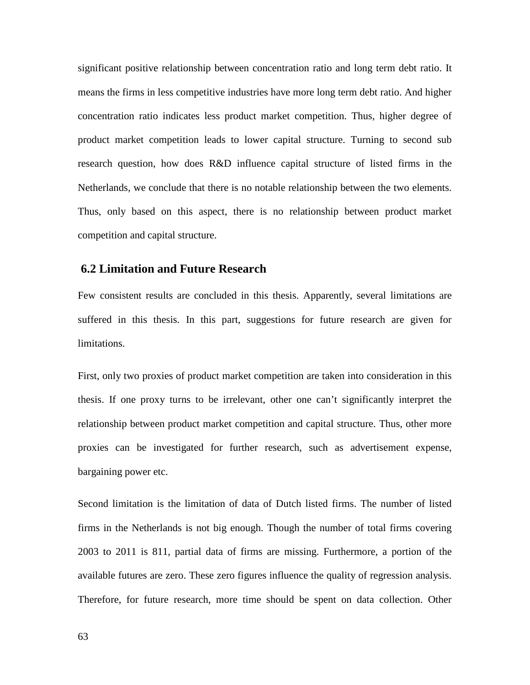significant positive relationship between concentration ratio and long term debt ratio. It means the firms in less competitive industries have more long term debt ratio. And higher concentration ratio indicates less product market competition. Thus, higher degree of product market competition leads to lower capital structure. Turning to second sub research question, how does R&D influence capital structure of listed firms in the Netherlands, we conclude that there is no notable relationship between the two elements. Thus, only based on this aspect, there is no relationship between product market competition and capital structure.

# **6.2 Limitation and Future Research**

Few consistent results are concluded in this thesis. Apparently, several limitations are suffered in this thesis. In this part, suggestions for future research are given for limitations.

First, only two proxies of product market competition are taken into consideration in this thesis. If one proxy turns to be irrelevant, other one can't significantly interpret the relationship between product market competition and capital structure. Thus, other more proxies can be investigated for further research, such as advertisement expense, bargaining power etc.

Second limitation is the limitation of data of Dutch listed firms. The number of listed firms in the Netherlands is not big enough. Though the number of total firms covering 2003 to 2011 is 811, partial data of firms are missing. Furthermore, a portion of the available futures are zero. These zero figures influence the quality of regression analysis. Therefore, for future research, more time should be spent on data collection. Other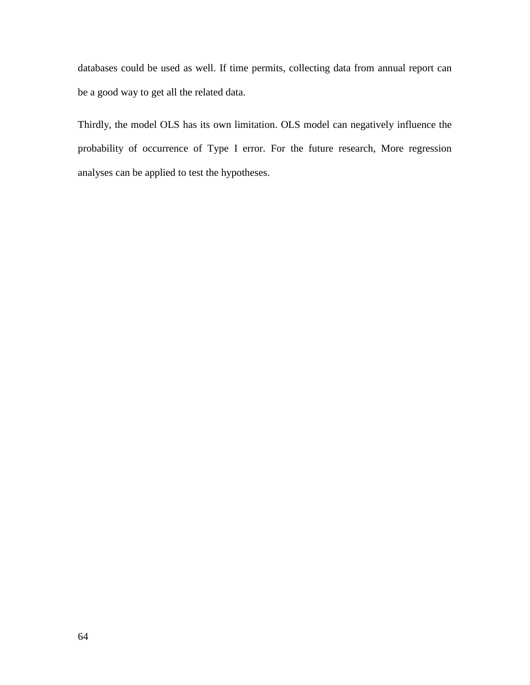databases could be used as well. If time permits, collecting data from annual report can be a good way to get all the related data.

Thirdly, the model OLS has its own limitation. OLS model can negatively influence the probability of occurrence of Type I error. For the future research, More regression analyses can be applied to test the hypotheses.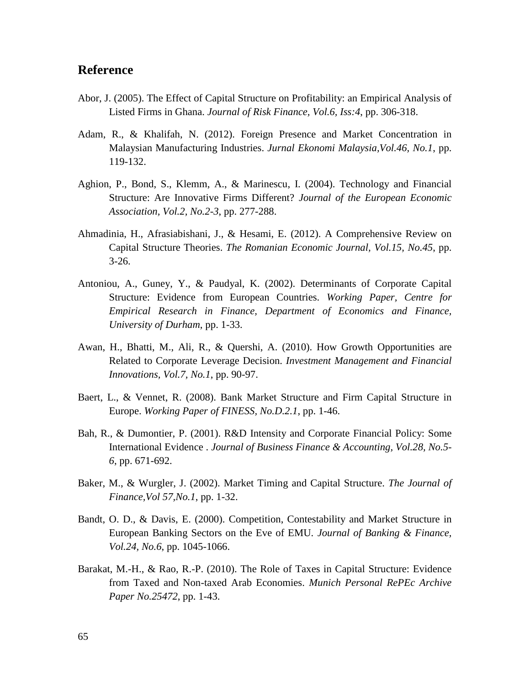# **Reference**

- Abor, J. (2005). The Effect of Capital Structure on Profitability: an Empirical Analysis of Listed Firms in Ghana. *Journal of Risk Finance, Vol.6, Iss:4*, pp. 306-318.
- Adam, R., & Khalifah, N. (2012). Foreign Presence and Market Concentration in Malaysian Manufacturing Industries. *Jurnal Ekonomi Malaysia,Vol.46, No.1*, pp. 119-132.
- Aghion, P., Bond, S., Klemm, A., & Marinescu, I. (2004). Technology and Financial Structure: Are Innovative Firms Different? *Journal of the European Economic Association, Vol.2, No.2-3*, pp. 277-288.
- Ahmadinia, H., Afrasiabishani, J., & Hesami, E. (2012). A Comprehensive Review on Capital Structure Theories. *The Romanian Economic Journal, Vol.15, No.45*, pp. 3-26.
- Antoniou, A., Guney, Y., & Paudyal, K. (2002). Determinants of Corporate Capital Structure: Evidence from European Countries. *Working Paper, Centre for Empirical Research in Finance, Department of Economics and Finance, University of Durham*, pp. 1-33.
- Awan, H., Bhatti, M., Ali, R., & Quershi, A. (2010). How Growth Opportunities are Related to Corporate Leverage Decision. *Investment Management and Financial Innovations, Vol.7, No.1*, pp. 90-97.
- Baert, L., & Vennet, R. (2008). Bank Market Structure and Firm Capital Structure in Europe. *Working Paper of FINESS, No.D.2.1*, pp. 1-46.
- Bah, R., & Dumontier, P. (2001). R&D Intensity and Corporate Financial Policy: Some International Evidence . *Journal of Business Finance & Accounting, Vol.28, No.5- 6*, pp. 671-692.
- Baker, M., & Wurgler, J. (2002). Market Timing and Capital Structure. *The Journal of Finance,Vol 57,No.1*, pp. 1-32.
- Bandt, O. D., & Davis, E. (2000). Competition, Contestability and Market Structure in European Banking Sectors on the Eve of EMU. *Journal of Banking & Finance, Vol.24, No.6*, pp. 1045-1066.
- Barakat, M.-H., & Rao, R.-P. (2010). The Role of Taxes in Capital Structure: Evidence from Taxed and Non-taxed Arab Economies. *Munich Personal RePEc Archive Paper No.25472*, pp. 1-43.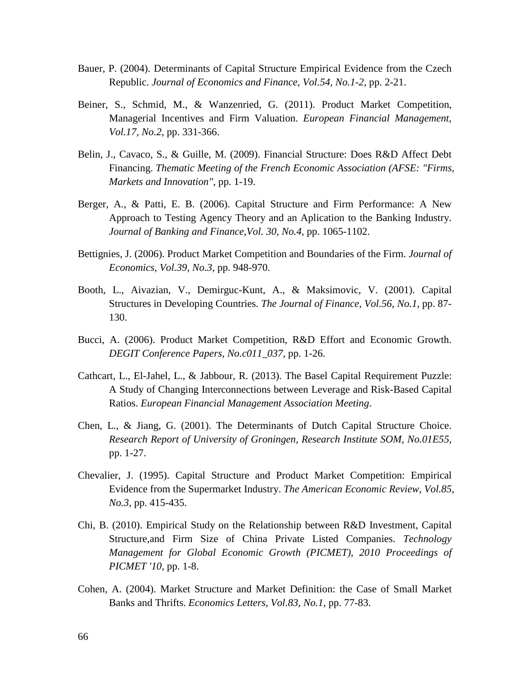- Bauer, P. (2004). Determinants of Capital Structure Empirical Evidence from the Czech Republic. *Journal of Economics and Finance, Vol.54, No.1-2*, pp. 2-21.
- Beiner, S., Schmid, M., & Wanzenried, G. (2011). Product Market Competition, Managerial Incentives and Firm Valuation. *European Financial Management, Vol.17, No.2*, pp. 331-366.
- Belin, J., Cavaco, S., & Guille, M. (2009). Financial Structure: Does R&D Affect Debt Financing. *Thematic Meeting of the French Economic Association (AFSE: "Firms, Markets and Innovation"*, pp. 1-19.
- Berger, A., & Patti, E. B. (2006). Capital Structure and Firm Performance: A New Approach to Testing Agency Theory and an Aplication to the Banking Industry. *Journal of Banking and Finance,Vol. 30, No.4*, pp. 1065-1102.
- Bettignies, J. (2006). Product Market Competition and Boundaries of the Firm. *Journal of Economics, Vol.39, No.3*, pp. 948-970.
- Booth, L., Aivazian, V., Demirguc-Kunt, A., & Maksimovic, V. (2001). Capital Structures in Developing Countries. *The Journal of Finance, Vol.56, No.1*, pp. 87- 130.
- Bucci, A. (2006). Product Market Competition, R&D Effort and Economic Growth. *DEGIT Conference Papers, No.c011\_037*, pp. 1-26.
- Cathcart, L., El-Jahel, L., & Jabbour, R. (2013). The Basel Capital Requirement Puzzle: A Study of Changing Interconnections between Leverage and Risk-Based Capital Ratios. *European Financial Management Association Meeting*.
- Chen, L., & Jiang, G. (2001). The Determinants of Dutch Capital Structure Choice. *Research Report of University of Groningen, Research Institute SOM, No.01E55*, pp. 1-27.
- Chevalier, J. (1995). Capital Structure and Product Market Competition: Empirical Evidence from the Supermarket Industry. *The American Economic Review, Vol.85, No.3*, pp. 415-435.
- Chi, B. (2010). Empirical Study on the Relationship between R&D Investment, Capital Structure,and Firm Size of China Private Listed Companies. *Technology Management for Global Economic Growth (PICMET), 2010 Proceedings of PICMET '10*, pp. 1-8.
- Cohen, A. (2004). Market Structure and Market Definition: the Case of Small Market Banks and Thrifts. *Economics Letters, Vol.83, No.1*, pp. 77-83.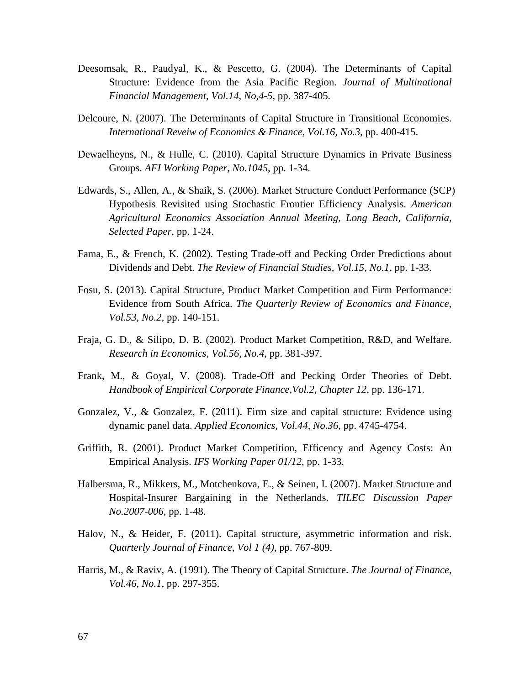- Deesomsak, R., Paudyal, K., & Pescetto, G. (2004). The Determinants of Capital Structure: Evidence from the Asia Pacific Region. *Journal of Multinational Financial Management, Vol.14, No,4-5*, pp. 387-405.
- Delcoure, N. (2007). The Determinants of Capital Structure in Transitional Economies. *International Reveiw of Economics & Finance, Vol.16, No.3*, pp. 400-415.
- Dewaelheyns, N., & Hulle, C. (2010). Capital Structure Dynamics in Private Business Groups. *AFI Working Paper, No.1045*, pp. 1-34.
- Edwards, S., Allen, A., & Shaik, S. (2006). Market Structure Conduct Performance (SCP) Hypothesis Revisited using Stochastic Frontier Efficiency Analysis. *American Agricultural Economics Association Annual Meeting, Long Beach, California, Selected Paper*, pp. 1-24.
- Fama, E., & French, K. (2002). Testing Trade-off and Pecking Order Predictions about Dividends and Debt. *The Review of Financial Studies, Vol.15, No.1*, pp. 1-33.
- Fosu, S. (2013). Capital Structure, Product Market Competition and Firm Performance: Evidence from South Africa. *The Quarterly Review of Economics and Finance, Vol.53, No.2*, pp. 140-151.
- Fraja, G. D., & Silipo, D. B. (2002). Product Market Competition, R&D, and Welfare. *Research in Economics, Vol.56, No.4*, pp. 381-397.
- Frank, M., & Goyal, V. (2008). Trade-Off and Pecking Order Theories of Debt. *Handbook of Empirical Corporate Finance,Vol.2, Chapter 12*, pp. 136-171.
- Gonzalez, V., & Gonzalez, F. (2011). Firm size and capital structure: Evidence using dynamic panel data. *Applied Economics, Vol.44, No.36*, pp. 4745-4754.
- Griffith, R. (2001). Product Market Competition, Efficency and Agency Costs: An Empirical Analysis. *IFS Working Paper 01/12*, pp. 1-33.
- Halbersma, R., Mikkers, M., Motchenkova, E., & Seinen, I. (2007). Market Structure and Hospital-Insurer Bargaining in the Netherlands. *TILEC Discussion Paper No.2007-006*, pp. 1-48.
- Halov, N., & Heider, F. (2011). Capital structure, asymmetric information and risk. *Quarterly Journal of Finance, Vol 1 (4)*, pp. 767-809.
- Harris, M., & Raviv, A. (1991). The Theory of Capital Structure. *The Journal of Finance, Vol.46, No.1*, pp. 297-355.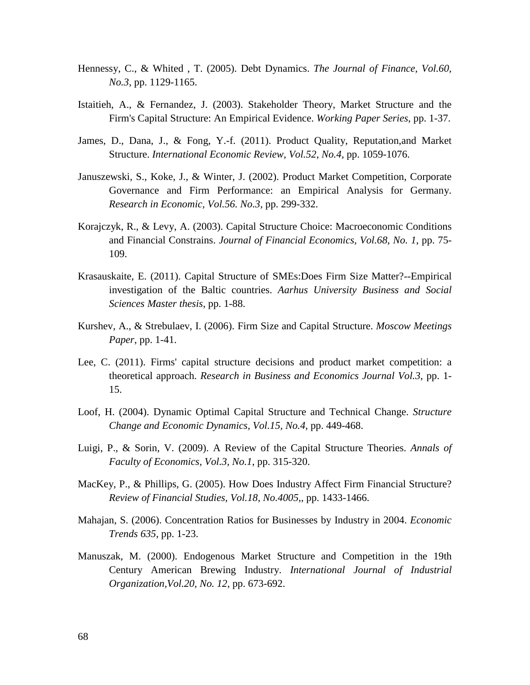- Hennessy, C., & Whited , T. (2005). Debt Dynamics. *The Journal of Finance, Vol.60, No.3*, pp. 1129-1165.
- Istaitieh, A., & Fernandez, J. (2003). Stakeholder Theory, Market Structure and the Firm's Capital Structure: An Empirical Evidence. *Working Paper Series*, pp. 1-37.
- James, D., Dana, J., & Fong, Y.-f. (2011). Product Quality, Reputation,and Market Structure. *International Economic Review, Vol.52, No.4*, pp. 1059-1076.
- Januszewski, S., Koke, J., & Winter, J. (2002). Product Market Competition, Corporate Governance and Firm Performance: an Empirical Analysis for Germany. *Research in Economic, Vol.56. No.3*, pp. 299-332.
- Korajczyk, R., & Levy, A. (2003). Capital Structure Choice: Macroeconomic Conditions and Financial Constrains. *Journal of Financial Economics, Vol.68, No. 1*, pp. 75- 109.
- Krasauskaite, E. (2011). Capital Structure of SMEs:Does Firm Size Matter?--Empirical investigation of the Baltic countries. *Aarhus University Business and Social Sciences Master thesis*, pp. 1-88.
- Kurshev, A., & Strebulaev, I. (2006). Firm Size and Capital Structure. *Moscow Meetings Paper*, pp. 1-41.
- Lee, C. (2011). Firms' capital structure decisions and product market competition: a theoretical approach. *Research in Business and Economics Journal Vol.3*, pp. 1- 15.
- Loof, H. (2004). Dynamic Optimal Capital Structure and Technical Change. *Structure Change and Economic Dynamics, Vol.15, No.4*, pp. 449-468.
- Luigi, P., & Sorin, V. (2009). A Review of the Capital Structure Theories. *Annals of Faculty of Economics, Vol.3, No.1*, pp. 315-320.
- MacKey, P., & Phillips, G. (2005). How Does Industry Affect Firm Financial Structure? *Review of Financial Studies, Vol.18, No.4005,*, pp. 1433-1466.
- Mahajan, S. (2006). Concentration Ratios for Businesses by Industry in 2004. *Economic Trends 635*, pp. 1-23.
- Manuszak, M. (2000). Endogenous Market Structure and Competition in the 19th Century American Brewing Industry. *International Journal of Industrial Organization,Vol.20, No. 12*, pp. 673-692.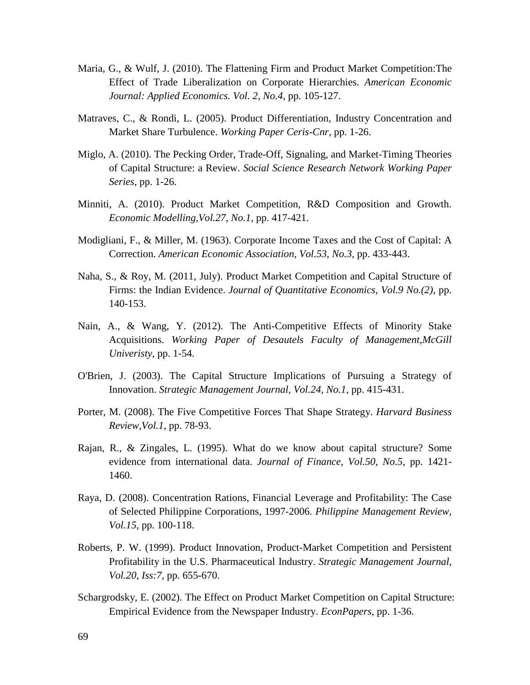- Maria, G., & Wulf, J. (2010). The Flattening Firm and Product Market Competition:The Effect of Trade Liberalization on Corporate Hierarchies. *American Economic Journal: Applied Economics. Vol. 2, No.4*, pp. 105-127.
- Matraves, C., & Rondi, L. (2005). Product Differentiation, Industry Concentration and Market Share Turbulence. *Working Paper Ceris-Cnr*, pp. 1-26.
- Miglo, A. (2010). The Pecking Order, Trade-Off, Signaling, and Market-Timing Theories of Capital Structure: a Review. *Social Science Research Network Working Paper Series*, pp. 1-26.
- Minniti, A. (2010). Product Market Competition, R&D Composition and Growth. *Economic Modelling,Vol.27, No.1*, pp. 417-421.
- Modigliani, F., & Miller, M. (1963). Corporate Income Taxes and the Cost of Capital: A Correction. *American Economic Association, Vol.53, No.3*, pp. 433-443.
- Naha, S., & Roy, M. (2011, July). Product Market Competition and Capital Structure of Firms: the Indian Evidence. *Journal of Quantitative Economics, Vol.9 No.(2)*, pp. 140-153.
- Nain, A., & Wang, Y. (2012). The Anti-Competitive Effects of Minority Stake Acquisitions. *Working Paper of Desautels Faculty of Management,McGill Univeristy*, pp. 1-54.
- O'Brien, J. (2003). The Capital Structure Implications of Pursuing a Strategy of Innovation. *Strategic Management Journal, Vol.24, No.1*, pp. 415-431.
- Porter, M. (2008). The Five Competitive Forces That Shape Strategy. *Harvard Business Review,Vol.1*, pp. 78-93.
- Rajan, R., & Zingales, L. (1995). What do we know about capital structure? Some evidence from international data. *Journal of Finance, Vol.50, No.5*, pp. 1421- 1460.
- Raya, D. (2008). Concentration Rations, Financial Leverage and Profitability: The Case of Selected Philippine Corporations, 1997-2006. *Philippine Management Review, Vol.15*, pp. 100-118.
- Roberts, P. W. (1999). Product Innovation, Product-Market Competition and Persistent Profitability in the U.S. Pharmaceutical Industry. *Strategic Management Journal, Vol.20, Iss:7*, pp. 655-670.
- Schargrodsky, E. (2002). The Effect on Product Market Competition on Capital Structure: Empirical Evidence from the Newspaper Industry. *EconPapers*, pp. 1-36.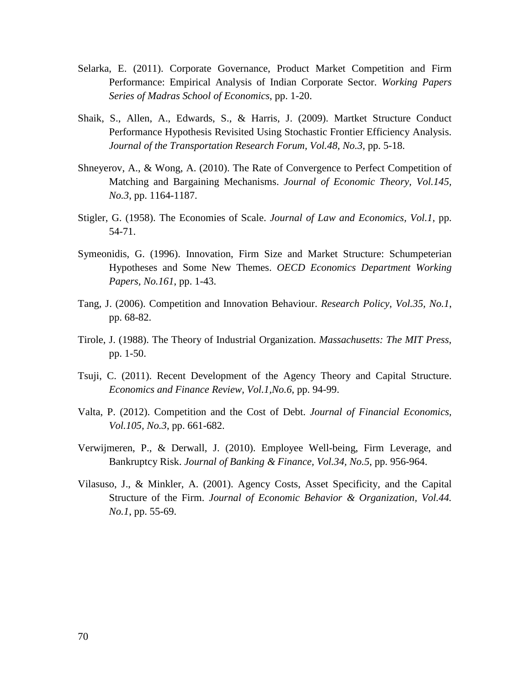- Selarka, E. (2011). Corporate Governance, Product Market Competition and Firm Performance: Empirical Analysis of Indian Corporate Sector. *Working Papers Series of Madras School of Economics*, pp. 1-20.
- Shaik, S., Allen, A., Edwards, S., & Harris, J. (2009). Martket Structure Conduct Performance Hypothesis Revisited Using Stochastic Frontier Efficiency Analysis. *Journal of the Transportation Research Forum, Vol.48, No.3*, pp. 5-18.
- Shneyerov, A., & Wong, A. (2010). The Rate of Convergence to Perfect Competition of Matching and Bargaining Mechanisms. *Journal of Economic Theory, Vol.145, No.3*, pp. 1164-1187.
- Stigler, G. (1958). The Economies of Scale. *Journal of Law and Economics, Vol.1*, pp. 54-71.
- Symeonidis, G. (1996). Innovation, Firm Size and Market Structure: Schumpeterian Hypotheses and Some New Themes. *OECD Economics Department Working Papers, No.161*, pp. 1-43.
- Tang, J. (2006). Competition and Innovation Behaviour. *Research Policy, Vol.35, No.1*, pp. 68-82.
- Tirole, J. (1988). The Theory of Industrial Organization. *Massachusetts: The MIT Press*, pp. 1-50.
- Tsuji, C. (2011). Recent Development of the Agency Theory and Capital Structure. *Economics and Finance Review, Vol.1,No.6*, pp. 94-99.
- Valta, P. (2012). Competition and the Cost of Debt. *Journal of Financial Economics, Vol.105, No.3*, pp. 661-682.
- Verwijmeren, P., & Derwall, J. (2010). Employee Well-being, Firm Leverage, and Bankruptcy Risk. *Journal of Banking & Finance, Vol.34, No.5*, pp. 956-964.
- Vilasuso, J., & Minkler, A. (2001). Agency Costs, Asset Specificity, and the Capital Structure of the Firm. *Journal of Economic Behavior & Organization, Vol.44. No.1*, pp. 55-69.